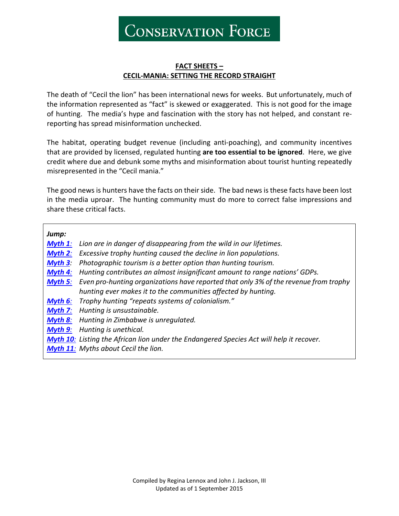**CONSERVATION FORCE** 

#### **FACT SHEETS – CECIL-MANIA: SETTING THE RECORD STRAIGHT**

The death of "Cecil the lion" has been international news for weeks. But unfortunately, much of the information represented as "fact" is skewed or exaggerated. This is not good for the image of hunting. The media's hype and fascination with the story has not helped, and constant rereporting has spread misinformation unchecked.

The habitat, operating budget revenue (including anti-poaching), and community incentives that are provided by licensed, regulated hunting **are too essential to be ignored**. Here, we give credit where due and debunk some myths and misinformation about tourist hunting repeatedly misrepresented in the "Cecil mania."

The good news is hunters have the facts on their side. The bad news is these facts have been lost in the media uproar. The hunting community must do more to correct false impressions and share these critical facts.

*Jump:*

| Jump:      |                                                                                                 |
|------------|-------------------------------------------------------------------------------------------------|
| $Myth 1$ : | Lion are in danger of disappearing from the wild in our lifetimes.                              |
| $Myth 2$ : | Excessive trophy hunting caused the decline in lion populations.                                |
| $Myth 3$ : | Photographic tourism is a better option than hunting tourism.                                   |
| Myth $4$ : | Hunting contributes an almost insignificant amount to range nations' GDPs.                      |
| Myth 5:    | Even pro-hunting organizations have reported that only 3% of the revenue from trophy            |
|            | hunting ever makes it to the communities affected by hunting.                                   |
| Myth $6$ : | Trophy hunting "repeats systems of colonialism."                                                |
| Myth 7:    | Hunting is unsustainable.                                                                       |
| Myth 8:    | Hunting in Zimbabwe is unregulated.                                                             |
| Myth 9:    | Hunting is unethical.                                                                           |
|            | <b>Myth 10:</b> Listing the African lion under the Endangered Species Act will help it recover. |
|            | <b>Myth 11:</b> Myths about Cecil the lion.                                                     |
|            |                                                                                                 |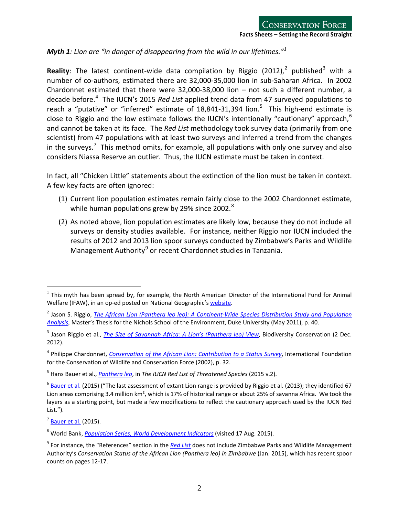<span id="page-1-0"></span>*Myth 1: Lion are "in danger of disappearing from the wild in our lifetimes."[1](#page-1-1)*

Reality: The latest continent-wide data compilation by Riggio ([2](#page-1-2)012),<sup>2</sup> published<sup>[3](#page-1-3)</sup> with a number of co-authors, estimated there are 32,000-35,000 lion in sub-Saharan Africa. In 2002 Chardonnet estimated that there were 32,000-38,000 lion – not such a different number, a decade before.[4](#page-1-4) The IUCN's 2015 *Red List* applied trend data from 47 surveyed populations to reach a "putative" or "inferred" estimate of 18,841-31,394 lion.<sup>[5](#page-1-5)</sup> This high-end estimate is close to Riggio and the low estimate follows the IUCN's intentionally "cautionary" approach,  $6$ and cannot be taken at its face. The *Red List* methodology took survey data (primarily from one scientist) from 47 populations with at least two surveys and inferred a trend from the changes in the surveys.<sup>[7](#page-1-7)</sup> This method omits, for example, all populations with only one survey and also considers Niassa Reserve an outlier. Thus, the IUCN estimate must be taken in context.

In fact, all "Chicken Little" statements about the extinction of the lion must be taken in context. A few key facts are often ignored:

- (1) Current lion population estimates remain fairly close to the 2002 Chardonnet estimate, while human populations grew by 29% since 2002.<sup>[8](#page-1-8)</sup>
- (2) As noted above, lion population estimates are likely low, because they do not include all surveys or density studies available. For instance, neither Riggio nor IUCN included the results of 2012 and 2013 lion spoor surveys conducted by Zimbabwe's Parks and Wildlife Management Authority<sup>[9](#page-1-9)</sup> or recent Chardonnet studies in Tanzania.

<span id="page-1-1"></span> $<sup>1</sup>$  This myth has been spread by, for example, the North American Director of the International Fund for Animal</sup> Welfare (IFAW), in an op-ed posted on National Geographic'[s website.](http://news.nationalgeographic.com/news/2013/08/130802-lions-trophy-hunting-extinction-opinion-animals-africa-conservation/)

<span id="page-1-2"></span><sup>2</sup> Jason S. Riggio, *[The African Lion \(Panthera leo leo\): A Continent-Wide Species Distribution Study and Population](http://dukespace.lib.duke.edu/dspace/bitstream/handle/10161/3714/Riggio_MP.pdf?sequence=1)  [Analysis](http://dukespace.lib.duke.edu/dspace/bitstream/handle/10161/3714/Riggio_MP.pdf?sequence=1)*, Master's Thesis for the Nichols School of the Environment, Duke University (May 2011), p. 40.

<span id="page-1-3"></span><sup>&</sup>lt;sup>3</sup> Jason Riggio et al., *[The Size of Savannah Africa: A Lion's \(Panthera leo\) View](http://www.panthera.org/sites/default/files/Size-of-Savannah-Africa-A-Lions-View-2012.pdf)*, Biodiversity Conservation (2 Dec. 2012).

<span id="page-1-4"></span><sup>4</sup> Philippe Chardonnet, *[Conservation of the African Lion: Contribution to a Status Survey](http://www.conservationforce.org/pdf/conservationoftheafricanlion_study_2_of_5.pdf)*, International Foundation for the Conservation of Wildlife and Conservation Force (2002), p. 32.

<span id="page-1-5"></span><sup>5</sup> Hans Bauer et al., *[Panthera leo](http://www.iucnredlist.org/details/full/15951/0)*, in *The IUCN Red List of Threatened Species* (2015 v.2).

<span id="page-1-6"></span> $6$  [Bauer et al.](http://www.iucnredlist.org/details/full/15951/0) (2015) ("The last assessment of extant Lion range is provided by Riggio et al. (2013); they identified 67 Lion areas comprising 3.4 million km<sup>2</sup>, which is 17% of historical range or about 25% of savanna Africa. We took the layers as a starting point, but made a few modifications to reflect the cautionary approach used by the IUCN Red List.").

<span id="page-1-7"></span> $<sup>7</sup>$  [Bauer et al.](http://www.iucnredlist.org/details/full/15951/0) (2015).</sup>

<span id="page-1-8"></span><sup>8</sup> World Bank, *[Population Series, World Development Indicators](http://databank.worldbank.org/data/reports.aspx?Code=SP.POP.TOTL&id=af3ce82b&report_name=Popular_indicators&populartype=series&ispopular=y)* (visited 17 Aug. 2015).

<span id="page-1-9"></span><sup>9</sup> For instance, the "References" section in the *[Red List](http://www.iucnredlist.org/details/full/15951/0)* does not include Zimbabwe Parks and Wildlife Management Authority's *Conservation Status of the African Lion (Panthera leo) in Zimbabwe* (Jan. 2015), which has recent spoor counts on pages 12-17.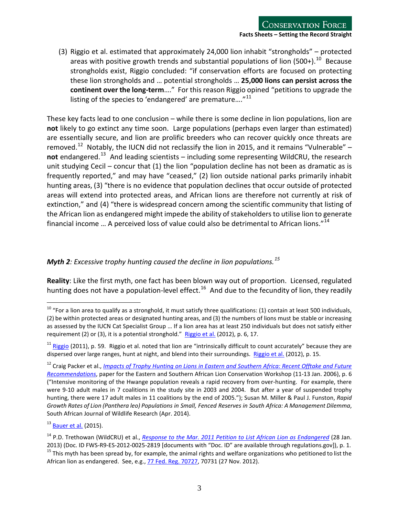(3) Riggio et al. estimated that approximately 24,000 lion inhabit "strongholds" – protected areas with positive growth trends and substantial populations of lion (500+).<sup>[10](#page-2-1)</sup> Because strongholds exist, Riggio concluded: "if conservation efforts are focused on protecting these lion strongholds and … potential strongholds … **25,000 lions can persist across the continent over the long-term**…." For this reason Riggio opined "petitions to upgrade the listing of the species to 'endangered' are premature...."<sup>[11](#page-2-2)</sup>

These key facts lead to one conclusion – while there is some decline in lion populations, lion are **not** likely to go extinct any time soon. Large populations (perhaps even larger than estimated) are essentially secure, and lion are prolific breeders who can recover quickly once threats are removed.<sup>[12](#page-2-3)</sup> Notably, the IUCN did not reclassify the lion in 2015, and it remains "Vulnerable" – **not** endangered. [13](#page-2-4) And leading scientists – including some representing WildCRU, the research unit studying Cecil – concur that (1) the lion "population decline has not been as dramatic as is frequently reported," and may have "ceased," (2) lion outside national parks primarily inhabit hunting areas, (3) "there is no evidence that population declines that occur outside of protected areas will extend into protected areas, and African lions are therefore not currently at risk of extinction," and (4) "there is widespread concern among the scientific community that listing of the African lion as endangered might impede the ability of stakeholders to utilise lion to generate financial income ... A perceived loss of value could also be detrimental to African lions."<sup>[14](#page-2-5)</sup>

## <span id="page-2-7"></span><span id="page-2-0"></span>*Myth 2: Excessive trophy hunting caused the decline in lion populations.[15](#page-2-6)*

**Reality**: Like the first myth, one fact has been blown way out of proportion. Licensed, regulated hunting does not have a population-level effect.<sup>[16](#page-2-7)</sup> And due to the fecundity of lion, they readily

<span id="page-2-1"></span> $^{10}$  "For a lion area to qualify as a stronghold, it must satisfy three qualifications: (1) contain at least 500 individuals, (2) be within protected areas or designated hunting areas, and (3) the numbers of lions must be stable or increasing as assessed by the IUCN Cat Specialist Group … If a lion area has at least 250 individuals but does not satisfy either requirement (2) or (3), it is a potential stronghold." [Riggio et al.](http://www.panthera.org/sites/default/files/Size-of-Savannah-Africa-A-Lions-View-2012.pdf) (2012), p. 6, 17.

<span id="page-2-2"></span> $11$  [Riggio](http://dukespace.lib.duke.edu/dspace/bitstream/handle/10161/3714/Riggio_MP.pdf?sequence=1) (2011), p. 59. Riggio et al. noted that lion are "intrinsically difficult to count accurately" because they are dispersed over large ranges, hunt at night, and blend into their surroundings. [Riggio et al.](http://www.panthera.org/sites/default/files/Size-of-Savannah-Africa-A-Lions-View-2012.pdf) (2012), p. 15.

<span id="page-2-3"></span><sup>12</sup> Craig Packer et al., *Impacts of Trophy Hunting on Lions in Eastern [and Southern Africa: Recent Offtake and Future](http://www.conservationforce.org/pdf/packer_trophyhunting_lion_2006.pdf)  [Recommendations](http://www.conservationforce.org/pdf/packer_trophyhunting_lion_2006.pdf)*, paper for the Eastern and Southern African Lion Conservation Workshop (11-13 Jan. 2006), p. 6 ("Intensive monitoring of the Hwange population reveals a rapid recovery from over-hunting. For example, there were 9-10 adult males in 7 coalitions in the study site in 2003 and 2004. But after a year of suspended trophy hunting, there were 17 adult males in 11 coalitions by the end of 2005."); Susan M. Miller & Paul J. Funston, *Rapid Growth Rates of Lion (Panthera leo) Populations in Small, Fenced Reserves in South Africa: A Management Dilemma*, South African Journal of Wildlife Research (Apr. 2014).

<span id="page-2-4"></span> $13$  [Bauer et al.](http://www.iucnredlist.org/details/full/15951/0) (2015).

<span id="page-2-5"></span><sup>&</sup>lt;sup>14</sup> P.D. Trethowan (WildCRU) et al., *[Response to the Mar. 2011 Petition to List African Lion as Endangered](http://www.regulations.gov/%23!documentDetail;D=FWS-R9-ES-2012-0025-2819)* (28 Jan.

<span id="page-2-6"></span><sup>2013) (</sup>Doc. ID FWS-R9-ES-2012-0025-2819 [documents with "Doc. ID" are available through regulations.gov]), p. 1.<br><sup>15</sup> This myth has been spread by, for example, the animal rights and welfare organizations who petitioned to African lion as endangered. See, e.g., [77 Fed. Reg. 70727,](http://www.fws.gov/policy/library/2012/2012-28310.pdf) 70731 (27 Nov. 2012).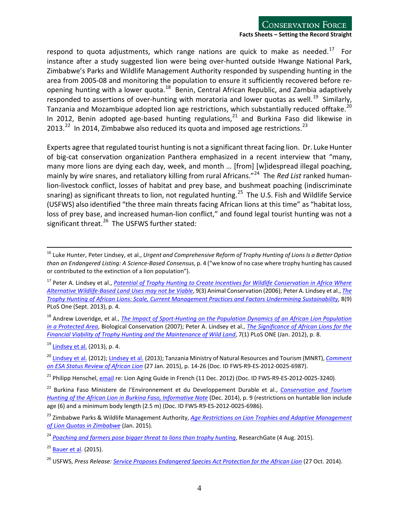respond to quota adjustments, which range nations are quick to make as needed.<sup>[17](#page-3-0)</sup> For instance after a study suggested lion were being over-hunted outside Hwange National Park, Zimbabwe's Parks and Wildlife Management Authority responded by suspending hunting in the area from 2005-08 and monitoring the population to ensure it sufficiently recovered before re-opening hunting with a lower quota.<sup>[18](#page-3-1)</sup> Benin, Central African Republic, and Zambia adaptively responded to assertions of over-hunting with moratoria and lower quotas as well.<sup>19</sup> Similarly, Tanzania and Mozambique adopted lion age restrictions, which substantially reduced offtake.<sup>[20](#page-3-3)</sup> In 2012, Benin adopted age-based hunting regulations, $^{21}$  $^{21}$  $^{21}$  and Burkina Faso did likewise in 2013. $^{22}$  $^{22}$  $^{22}$  In 2014, Zimbabwe also reduced its quota and imposed age restrictions.<sup>[23](#page-3-6)</sup>

Experts agree that regulated tourist hunting is not a significant threat facing lion. Dr. Luke Hunter of big-cat conservation organization Panthera emphasized in a recent interview that "many, many more lions are dying each day, week, and month … [from] [w]idespread illegal poaching, mainly by wire snares, and retaliatory killing from rural Africans."[24](#page-3-7) The *Red List* ranked humanlion-livestock conflict, losses of habitat and prey base, and bushmeat poaching (indiscriminate snaring) as significant threats to lion, not regulated hunting.<sup>[25](#page-3-8)</sup> The U.S. Fish and Wildlife Service (USFWS) also identified "the three main threats facing African lions at this time" as "habitat loss, loss of prey base, and increased human-lion conflict," and found legal tourist hunting was not a significant threat.<sup>[26](#page-3-9)</sup> The USFWS further stated:

<span id="page-3-1"></span><sup>18</sup> Andrew Loveridge, et al., *The Impact of [Sport-Hunting on the Population Dynamics of an African Lion Population](http://www.researchgate.net/publication/223621516_The_impact_of_sport-hunting_on_the_lion_population_in_a_protected_area._Biol_Conserv)  [in a Protected Area](http://www.researchgate.net/publication/223621516_The_impact_of_sport-hunting_on_the_lion_population_in_a_protected_area._Biol_Conserv)*, Biological Conservation (2007); Peter A. Lindsey et al., *[The Significance of African Lions for the](http://journals.plos.org/plosone/article?id=10.1371/journal.pone.0029332)  [Financial Viability of Trophy Hunting and the Maintenance of Wild Land](http://journals.plos.org/plosone/article?id=10.1371/journal.pone.0029332)*, 7(1) PLoS ONE (Jan. 2012), p. 8.

<span id="page-3-2"></span><sup>19</sup> [Lindsey et al.](http://journals.plos.org/plosone/article?id=10.1371/journal.pone.0073808) (2013), p. 4.

 $\overline{a}$ 

<span id="page-3-3"></span><sup>20</sup> [Lindsey et al.](http://journals.plos.org/plosone/article?id=10.1371/journal.pone.0029332) (2012)[; Lindsey et al.](http://journals.plos.org/plosone/article?id=10.1371/journal.pone.0073808) (2013); Tanzania Ministry of Natural Resources and Tourism (MNRT), *[Comment](http://www.regulations.gov/%23!documentDetail;D=FWS-R9-ES-2012-0025-6987)  [on ESA Status Review of African Lion](http://www.regulations.gov/%23!documentDetail;D=FWS-R9-ES-2012-0025-6987)* (27 Jan. 2015), p. 14-26 (Doc. ID FWS-R9-ES-2012-0025-6987).

<span id="page-3-4"></span><sup>21</sup> Philipp Henschel, [email](http://www.regulations.gov/%23!documentDetail;D=FWS-R9-ES-2012-0025-3240http://www.regulations.gov/) re: Lion Aging Guide in French (11 Dec. 2012) (Doc. ID FWS-R9-ES-2012-0025-3240).

<span id="page-3-5"></span><sup>22</sup> Burkina Faso Ministere de l'Environnement et du Developpement Durable et al., *[Conservation and Tourism](http://www.regulations.gov/%23!documentDetail;D=FWS-R9-ES-2012-0025-6986)  [Hunting of the African Lion in Burkina Faso, Informative Note](http://www.regulations.gov/%23!documentDetail;D=FWS-R9-ES-2012-0025-6986)* (Dec. 2014), p. 9 (restrictions on huntable lion include age (6) and a minimum body length (2.5 m) (Doc. ID FWS-R9-ES-2012-0025-6986).

<sup>16</sup> Luke Hunter, Peter Lindsey, et al., *Urgent and Comprehensive Reform of Trophy Hunting of LionsIs a Better Option than an Endangered Listing: A Science-Based Consensus*, p. 4 ("we know of no case where trophy hunting has caused or contributed to the extinction of a lion population").

<span id="page-3-0"></span><sup>17</sup> Peter A. Lindsey et al., *[Potential of Trophy Hunting to Create Incentives for Wildlife Conservation in Africa Where](http://www.africanwildlifeconservationfund.org/wp-content/uploads/2011/09/Potential-of-trophy-hunting.pdf)  [Alternative Wildlife-Based Land Uses may not be Viable](http://www.africanwildlifeconservationfund.org/wp-content/uploads/2011/09/Potential-of-trophy-hunting.pdf)*, 9(3) Animal Conservation (2006); Peter A. Lindsey et al., *[The](http://journals.plos.org/plosone/article?id=10.1371/journal.pone.0073808)  [Trophy Hunting of African Lions: Scale, Current Management Practices and Factors Undermining Sustainability](http://journals.plos.org/plosone/article?id=10.1371/journal.pone.0073808)*, 8(9) PLoS One (Sept. 2013), p. 4.

<span id="page-3-6"></span><sup>23</sup> Zimbabwe Parks & Wildlife Management Authority, *[Age Restrictions on Lion Trophies and Adaptive Management](http://www.zimparks.org/images/conservation_uploads/Lion%20trophy%20age%20restrictions%20Zimbabwe%202014.pdf)  [of Lion Quotas in Zimbabwe](http://www.zimparks.org/images/conservation_uploads/Lion%20trophy%20age%20restrictions%20Zimbabwe%202014.pdf)* (Jan. 2015).

<span id="page-3-7"></span><sup>24</sup> *[Poaching and farmers pose bigger threat to lions than trophy hunting](https://www.researchgate.net/blog/post/poaching-and-farmers-pose-bigger-threat-to-lions-than-trophy-hunting)*, ResearchGate (4 Aug. 2015).

<span id="page-3-8"></span> $25$  [Bauer et al.](http://www.iucnredlist.org/details/full/15951/0) (2015).

<span id="page-3-9"></span><sup>26</sup> USFWS, *Press Release: [Service Proposes Endangered Species Act Protection for the African Lion](http://www.fws.gov/news/ShowNews.cfm?ID=5210BE7C-097B-7DF9-5FB6460921A8C4CE)* (27 Oct. 2014).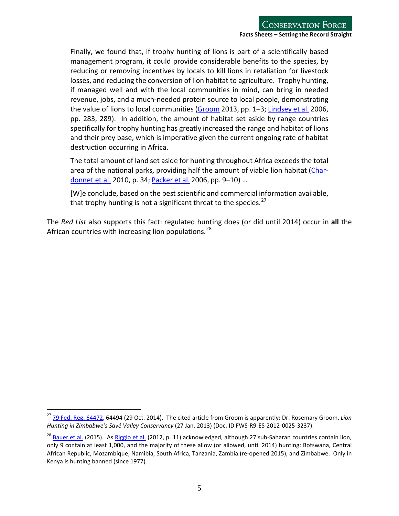Finally, we found that, if trophy hunting of lions is part of a scientifically based management program, it could provide considerable benefits to the species, by reducing or removing incentives by locals to kill lions in retaliation for livestock losses, and reducing the conversion of lion habitat to agriculture. Trophy hunting, if managed well and with the local communities in mind, can bring in needed revenue, jobs, and a much-needed protein source to local people, demonstrating the value of lions to local communities [\(Groom](http://www.regulations.gov/%23!documentDetail;D=FWS-R9-ES-2012-0025-3237) 2013, pp. 1-3; [Lindsey](http://www.africanwildlifeconservationfund.org/wp-content/uploads/2011/09/Potential-of-trophy-hunting.pdf) et al. 2006, pp. 283, 289). In addition, the amount of habitat set aside by range countries specifically for trophy hunting has greatly increased the range and habitat of lions and their prey base, which is imperative given the current ongoing rate of habitat destruction occurring in Africa.

The total amount of land set aside for hunting throughout Africa exceeds the total area of the national parks, providing half the amount of viable lion habitat [\(Char](http://www.fao.org/docrep/012/k7292e/k7292e00.pdf)[donnet et al.](http://www.fao.org/docrep/012/k7292e/k7292e00.pdf) 2010, p. 34; [Packer](http://www.conservationforce.org/pdf/packer_trophyhunting_lion_2006.pdf) et al. 2006, pp. 9–10) …

[W]e conclude, based on the best scientific and commercial information available, that trophy hunting is not a significant threat to the species.  $27$ 

The *Red List* also supports this fact: regulated hunting does (or did until 2014) occur in **all** the African countries with increasing lion populations.<sup>[28](#page-4-1)</sup>

<span id="page-4-0"></span><sup>27</sup> [79 Fed. Reg. 64472,](http://www.fws.gov/endangered/what-we-do/pdf/201410294_African-lion_Proposed_Rule.pdf) 64494 (29 Oct. 2014). The cited article from Groom is apparently: Dr. Rosemary Groom, *Lion Hunting in Zimbabwe's Savé Valley Conservancy* (27 Jan. 2013) (Doc. ID FWS-R9-ES-2012-0025-3237).

<span id="page-4-1"></span><sup>&</sup>lt;sup>28</sup> [Bauer et al.](http://www.iucnredlist.org/details/full/15951/0) (2015). As [Riggio et al.](http://www.panthera.org/sites/default/files/Size-of-Savannah-Africa-A-Lions-View-2012.pdf) (2012, p. 11) acknowledged, although 27 sub-Saharan countries contain lion, only 9 contain at least 1,000, and the majority of these allow (or allowed, until 2014) hunting: Botswana, Central African Republic, Mozambique, Namibia, South Africa, Tanzania, Zambia (re-opened 2015), and Zimbabwe. Only in Kenya is hunting banned (since 1977).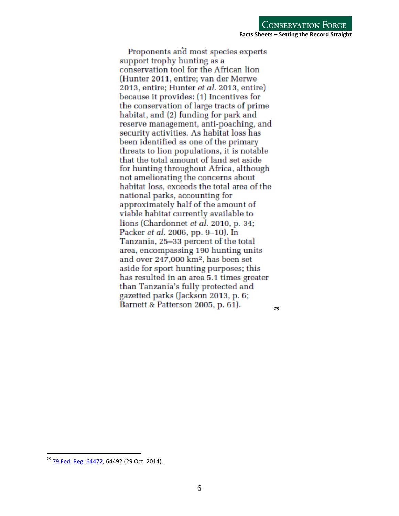Proponents and most species experts support trophy hunting as a conservation tool for the African lion (Hunter 2011, entire; van der Merwe 2013, entire; Hunter *et al.* 2013, entire) because it provides: (1) Incentives for the conservation of large tracts of prime habitat, and (2) funding for park and reserve management, anti-poaching, and security activities. As habitat loss has been identified as one of the primary threats to lion populations, it is notable that the total amount of land set aside for hunting throughout Africa, although not ameliorating the concerns about habitat loss, exceeds the total area of the national parks, accounting for approximately half of the amount of viable habitat currently available to lions (Chardonnet *et al.* 2010, p. 34; Packer *et al.* 2006, pp. 9–10). In Tanzania, 25–33 percent of the total area, encompassing 190 hunting units and over 247,000 km<sup>2</sup>, has been set aside for sport hunting purposes; this has resulted in an area 5.1 times greater than Tanzania's fully protected and gazetted parks (Jackson 2013, p. 6; Barnett & Patterson 2005, p. 61). *[29](#page-5-1)*

<span id="page-5-1"></span><span id="page-5-0"></span><sup>&</sup>lt;sup>29</sup> [79 Fed. Reg. 64472,](http://www.fws.gov/endangered/what-we-do/pdf/201410294_African-lion_Proposed_Rule.pdf) 64492 (29 Oct. 2014).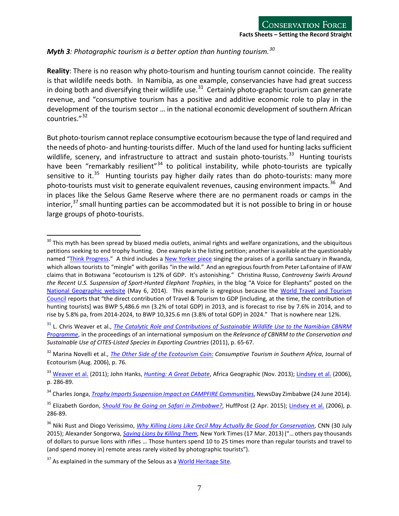### *Myth 3: Photographic tourism is a better option than hunting tourism.[30](#page-6-0)*

**Reality**: There is no reason why photo-tourism and hunting tourism cannot coincide. The reality is that wildlife needs both. In Namibia, as one example, conservancies have had great success in doing both and diversifying their wildlife use.<sup>[31](#page-6-1)</sup> Certainly photo-graphic tourism can generate revenue, and "consumptive tourism has a positive and additive economic role to play in the development of the tourism sector … in the national economic development of southern African countries." [32](#page-6-2)

But photo-tourism cannot replace consumptive ecotourism because the type of land required and the needs of photo- and hunting-tourists differ. Much of the land used for hunting lacks sufficient wildlife, scenery, and infrastructure to attract and sustain photo-tourists. $33$  Hunting tourists have been "remarkably resilient"<sup>[34](#page-6-4)</sup> to political instability, while photo-tourists are typically sensitive to it.<sup>35</sup> Hunting tourists pay higher daily rates than do photo-tourists: many more photo-tourists must visit to generate equivalent revenues, causing environment impacts.<sup>36</sup> And in places like the Selous Game Reserve where there are no permanent roads or camps in the interior,<sup>[37](#page-6-7)</sup> small hunting parties can be accommodated but it is not possible to bring in or house large groups of photo-tourists.

<span id="page-6-0"></span> $^{30}$  This myth has been spread by biased media outlets, animal rights and welfare organizations, and the ubiquitous petitions seeking to end trophy hunting. One example isthe listing petition; another is available at the questionably named ["Think Progress.](http://thinkprogress.org/world/2015/08/03/3687425/trophy-hunting/)" A third includes a [New Yorker piece](http://www.newyorker.com/news/news-desk/does-zimbabwe-really-need-trophy-hunting) singing the praises of a gorilla sanctuary in Rwanda, which allows tourists to "mingle" with gorillas "in the wild." And an egregious fourth from Peter LaFontaine of IFAW claims that in Botswana "ecotourism is 12% of GDP. It's astonishing." Christina Russo, *Controversy Swirls Around the Recent U.S. Suspension of Sport-Hunted Elephant Trophies*, in the blog "A Voice for Elephants" posted on the [National Geographic website](http://voices.nationalgeographic.com/2014/05/06/controversy-swirls-around-the-recent-u-s-suspension-of-sport-hunted-elephant-trophies/) (May 6, 2014). This example is egregious because the [World Travel and Tourism](http://www.wttc.org/-/media/files/reports/economic%20impact%20research/country%20reports/botswana2014.pdf)  [Council](http://www.wttc.org/-/media/files/reports/economic%20impact%20research/country%20reports/botswana2014.pdf) reports that "the direct contribution of Travel & Tourism to GDP [including, at the time, the contribution of hunting tourists] was BWP 5,486.6 mn (3.2% of total GDP) in 2013, and is forecast to rise by 7.6% in 2014, and to rise by 5.8% pa, from 2014-2024, to BWP 10,325.6 mn (3.8% of total GDP) in 2024." That is nowhere near 12%.  $\overline{a}$ 

<span id="page-6-1"></span><sup>&</sup>lt;sup>31</sup> L. Chris Weaver et al., *[The Catalytic Role and Contributions of Sustainable Wildlife Use to the Namibian](http://pubs.iied.org/pdfs/14616IIED.pdf) CBNRM [Programme](http://pubs.iied.org/pdfs/14616IIED.pdf)*, in the proceedings of an international symposium on the *Relevance of CBNRM to the Conservation and Sustainable Use of CITES-Listed Species in Exporting Countries* (2011), p. 65-67.

<span id="page-6-2"></span><sup>32</sup> Marina Novelli et al., *[The Other Side of the Ecotourism Coin:](http://www.researchgate.net/publication/233293988_The_Other_Side_of_the_Ecotourism_Coin_Consumptive_Tourism_in_Southern_Africa) Consumptive Tourism in Southern Africa*, Journal of Ecotourism (Aug. 2006), p. 76.

<span id="page-6-3"></span><sup>33</sup> [Weaver et al.](http://pubs.iied.org/pdfs/14616IIED.pdf) (2011); John Hanks, *[Hunting: A Great Debate](https://www.conservationforce.org/pdf/John%20Hanks%20-%20Hunting%20Great%20Debate.pdf)*, Africa Geographic (Nov. 2013); [Lindsey et al.](http://www.africanwildlifeconservationfund.org/wp-content/uploads/2011/09/Potential-of-trophy-hunting.pdf) (2006), p. 286-89.

<span id="page-6-4"></span><sup>34</sup> Charles Jonga, *Trophy Imports Suspension Impact on CAMPFIRE [Communities](https://www.newsday.co.zw/2014/06/24/trophy-imports-suspension-impact-campfire-communities/)*, NewsDay Zimbabwe (24 June 2014).

<span id="page-6-5"></span><sup>35</sup> Elizabeth Gordon, *[Should You Be Going on](http://www.huffingtonpost.com/elizabethgordon2/should-you-be-going-on-sa_b_6955440.html) Safari in Zimbabwe?*, HuffPost (2 Apr. 2015); [Lindsey et al.](http://www.africanwildlifeconservationfund.org/wp-content/uploads/2011/09/Potential-of-trophy-hunting.pdf) (2006), p. 286-89.

<span id="page-6-6"></span><sup>36</sup> Niki Rust and Diogo Verissimo, *Why Killing Lions Like [Cecil May Actually Be Good for Conservation](http://www.cnn.com/2015/07/30/opinions/cecil-conservation/)*, CNN (30 July 2015); Alexander Songorwa, *[Saving Lions by Killing Them](http://www.google.com/url?sa=t&rct=j&q=&esrc=s&source=web&cd=1&cad=rja&uact=8&ved=0CB8QFjAAahUKEwi0rMjzk8fHAhXPOIgKHbRdCPA&url=http%3A%2F%2Fwww.nytimes.com%2F2013%2F03%2F18%2Fopinion%2Fsaving-lions-by-killing-them.html&ei=jefdVfSxC8_xoAS0u6GADw&usg=AFQjCNG)*, New York Times (17 Mar. 2013) ("…others pay thousands of dollars to pursue lions with rifles … Those hunters spend 10 to 25 times more than regular tourists and travel to (and spend money in) remote areas rarely visited by photographic tourists").

<span id="page-6-7"></span> $37$  As explained in the summary of the Selous as a [World Heritage Site.](http://whc.unesco.org/en/list/199)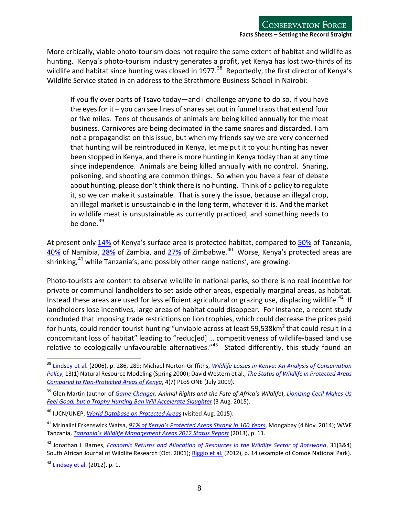More critically, viable photo-tourism does not require the same extent of habitat and wildlife as hunting. Kenya's photo-tourism industry generates a profit, yet Kenya has lost two-thirds of its wildlife and habitat since hunting was closed in 1977.<sup>[38](#page-7-0)</sup> Reportedly, the first director of Kenya's Wildlife Service stated in an address to the Strathmore Business School in Nairobi:

If you fly over parts of Tsavo today—and I challenge anyone to do so, if you have the eyes for it – you can see lines of snares set out in funnel traps that extend four or five miles. Tens of thousands of animals are being killed annually for the meat business. Carnivores are being decimated in the same snares and discarded. I am not a propagandist on this issue, but when my friends say we are very concerned that hunting will be reintroduced in Kenya, let me put it to you: hunting has never been stopped in Kenya, and there is more hunting in Kenya today than at any time since independence. Animals are being killed annually with no control. Snaring, poisoning, and shooting are common things. So when you have a fear of debate about hunting, please don't think there is no hunting. Think of a policy to regulate it, so we can make it sustainable. That is surely the issue, because an illegal crop, an illegal market is unsustainable in the long term, whatever it is. And themarket in wildlife meat is unsustainable as currently practiced, and something needs to be done. $39$ 

At present only [14%](http://www.protectedplanet.net/country/KE) of Kenya's surface area is protected habitat, compared to [50%](http://www.protectedplanet.net/country/TZ) of Tanzania,  $\frac{40\%}{40\%}$  of Namibia,  $\frac{28\%}{28\%}$  of Zambia, and  $\frac{27\%}{27\%}$  of Zimbabwe.<sup>40</sup> Worse, Kenya's protected areas are shrinking, $41$  while Tanzania's, and possibly other range nations', are growing.

Photo-tourists are content to observe wildlife in national parks, so there is no real incentive for private or communal landholders to set aside other areas, especially marginal areas, as habitat. Instead these areas are used for less efficient agricultural or grazing use, displacing wildlife.<sup>42</sup> If landholders lose incentives, large areas of habitat could disappear. For instance, a recent study concluded that imposing trade restrictions on lion trophies, which could decrease the prices paid for hunts, could render tourist hunting "unviable across at least 59,538km<sup>2</sup> that could result in a concomitant loss of habitat" leading to "reduc[ed] … competitiveness of wildlife-based land use relative to ecologically unfavourable alternatives." $43$  Stated differently, this study found an

<span id="page-7-0"></span><sup>38</sup> [Lindsey et al.](http://www.africanwildlifeconservationfund.org/wp-content/uploads/2011/09/Potential-of-trophy-hunting.pdf) (2006), p. 286, 289; Michael Norton-Griffiths, *Wildlife Losses in [Kenya: An Analysis of Conservation](http://mng5.com/papers/WildLifeLosses.pdf)  [Policy](http://mng5.com/papers/WildLifeLosses.pdf)*, 13(1) Natural Resource Modeling (Spring 2000); David Western et al., *The Status of Wildlife in [Protected](http://journals.plos.org/plosone/article?id=10.1371/journal.pone.0006140) Areas Compared to [Non-Protected Areas of Kenya](http://journals.plos.org/plosone/article?id=10.1371/journal.pone.0006140)*, 4(7) PLoS ONE (July 2009).

<span id="page-7-1"></span><sup>39</sup> Glen Martin (author of *[Game Changer:](http://www.amazon.com/Game-Changer-Animal-Africas-Wildlife/dp/0520266269) Animal Rights and the Fate of Africa's Wildlife*), *[Lionizing Cecil Makes Us](http://alumni.berkeley.edu/california-magazine/just-in/2015-08-05/lionizing-cecil-makes-us-feel-good-trophy-hunting-ban-will)  [Feel Good, but a Trophy Hunting Ban Will Accelerate Slaughter](http://alumni.berkeley.edu/california-magazine/just-in/2015-08-05/lionizing-cecil-makes-us-feel-good-trophy-hunting-ban-will)* (3 Aug. 2015).

<span id="page-7-2"></span><sup>40</sup> IUCN/UNEP, *[World Database on Protected Areas](http://www.protectedplanet.net/)* (visited Aug. 2015).

<span id="page-7-3"></span><sup>41</sup> Mrinalini Erkenswick Watsa, *[91% of Kenya's Protected Areas Shrank in 100 Years](http://news.mongabay.com/2014/11/91-of-kenyas-protected-areas-shrank-in-100-years/)*, Mongabay (4 Nov. 2014); WWF Tanzania, *[Tanzania's Wildlife Management Areas 2012 Status Report](http://www.twma.co.tz/uploads/WMA_Status_Report_2012_Final.pdf)* (2013), p. 11.

<span id="page-7-4"></span><sup>42</sup> Jonathan I. Barnes, *[Economic Returns and Allocation of Resources in the Wildlife Sector of Botswana](https://www.google.com/url?sa=t&rct=j&q=&esrc=s&source=web&cd=1&cad=rja&uact=8&ved=0CB8QFjAAahUKEwiI5ML1lbTHAhWFMIgKHbjRB9s&url=http%3A%2F%2Fwww.the-eis.com%2Fdata%2Fliterature%2Fjwwpap22%2520wildlife%2520sector%2520SAJWR%2520FINAL%2520.pdf&ei=h_PTVciECIXhoAS4o5_YDQ&usg=AFQjCNFMEgzrRlEJFwpqwMjOPETYDZgLrg&sig2=MbPICIU7Zr94UBRXC2RrJA&bvm=bv.99804247,d.cGU)*, 31(3&4) South African Journal of Wildlife Research (Oct. 2001)[; Riggio et al.](http://www.panthera.org/sites/default/files/Size-of-Savannah-Africa-A-Lions-View-2012.pdf) (2012), p. 14 (example of Comoe National Park).

<span id="page-7-5"></span> $43$  [Lindsey et al.](http://journals.plos.org/plosone/article?id=10.1371/journal.pone.0029332) (2012), p. 1.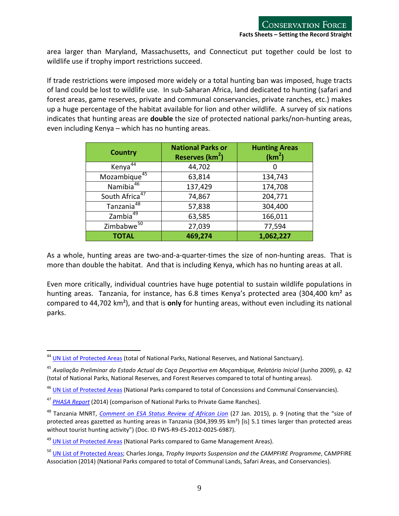area larger than Maryland, Massachusetts, and Connecticut put together could be lost to wildlife use if trophy import restrictions succeed.

If trade restrictions were imposed more widely or a total hunting ban was imposed, huge tracts of land could be lost to wildlife use. In sub-Saharan Africa, land dedicated to hunting (safari and forest areas, game reserves, private and communal conservancies, private ranches, etc.) makes up a huge percentage of the habitat available for lion and other wildlife. A survey of six nations indicates that hunting areas are **double** the size of protected national parks/non-hunting areas, even including Kenya – which has no hunting areas.

| <b>Country</b>             | <b>National Parks or</b><br>Reserves (km <sup>2</sup> ) | <b>Hunting Areas</b><br>(km <sup>2</sup> ) |
|----------------------------|---------------------------------------------------------|--------------------------------------------|
| Kenya <sup>44</sup>        | 44,702                                                  |                                            |
| Mozambique <sup>45</sup>   | 63,814                                                  | 134,743                                    |
| Namibia <sup>46</sup>      | 137,429                                                 | 174,708                                    |
| South Africa <sup>47</sup> | 74,867                                                  | 204,771                                    |
| Tanzania <sup>48</sup>     | 57,838                                                  | 304,400                                    |
| Zambia <sup>49</sup>       | 63,585                                                  | 166,011                                    |
| Zimbabwe <sup>50</sup>     | 27,039                                                  | 77,594                                     |
| <b>TOTAL</b>               | 469,274                                                 | 1,062,227                                  |

As a whole, hunting areas are two-and-a-quarter-times the size of non-hunting areas. That is more than double the habitat. And that is including Kenya, which has no hunting areas at all.

Even more critically, individual countries have huge potential to sustain wildlife populations in hunting areas. Tanzania, for instance, has 6.8 times Kenya's protected area (304,400 km<sup>2</sup> as compared to 44,702 km²), and that is **only** for hunting areas, without even including its national parks.

<span id="page-8-0"></span><sup>&</sup>lt;sup>44</sup> [UN List of Protected Areas](http://blog.protectedplanet.net/post/102481051829/2014-united-nations-list-of-protected-areas) (total of National Parks, National Reserves, and National Sanctuary).

<span id="page-8-1"></span><sup>45</sup> *Avaliação Preliminar do Estado Actual da Caça Desportiva em Moçambique, Relatório Inicial* (Junho 2009), p. 42 (total of National Parks, National Reserves, and Forest Reserves compared to total of hunting areas).

<span id="page-8-2"></span><sup>&</sup>lt;sup>46</sup> [UN List of Protected Areas](http://blog.protectedplanet.net/post/102481051829/2014-united-nations-list-of-protected-areas) (National Parks compared to total of Concessions and Communal Conservancies).

<span id="page-8-3"></span><sup>47</sup> *[PHASA Report](http://www.phasa.co.za/general/economics-of-hunting/item/download/255_3d62cfda7a365000dead3ebfd3e2838a.html)* (2014) (comparison of National Parks to Private Game Ranches).

<span id="page-8-4"></span><sup>48</sup> Tanzania MNRT, *[Comment on ESA Status Review of African Lion](http://www.regulations.gov/%23!documentDetail;D=FWS-R9-ES-2012-0025-6987)* (27 Jan. 2015), p. 9 (noting that the "size of protected areas gazetted as hunting areas in Tanzania (304,399.95 km²) [is] 5.1 times larger than protected areas without tourist hunting activity") (Doc. ID FWS-R9-ES-2012-0025-6987).

<span id="page-8-5"></span><sup>&</sup>lt;sup>49</sup> [UN List of Protected Areas](http://blog.protectedplanet.net/post/102481051829/2014-united-nations-list-of-protected-areas) (National Parks compared to Game Management Areas).

<span id="page-8-6"></span><sup>50</sup> [UN List of Protected Areas;](http://blog.protectedplanet.net/post/102481051829/2014-united-nations-list-of-protected-areas) Charles Jonga, *Trophy Imports Suspension and the CAMPFIRE Programme*, CAMPFIRE Association (2014) (National Parks compared to total of Communal Lands, Safari Areas, and Conservancies).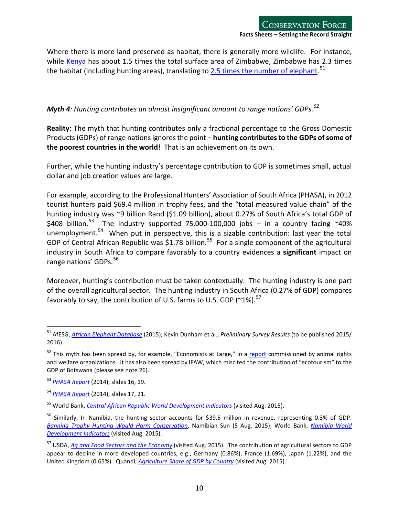Where there is more land preserved as habitat, there is generally more wildlife. For instance, while [Kenya](http://www.elephantdatabase.org/preview_report/2013_africa_final/Loxodonta_africana/2013/Africa/Eastern_Africa/Kenya) has about 1.5 times the total surface area of Zimbabwe, Zimbabwe has 2.3 times the habitat (including hunting areas), translating to 2.5 times [the number of elephant.](http://www.elephantdatabase.org/preview_report/2013_africa_final/Loxodonta_africana/2013/Africa/Southern_Africa/Zimbabwe)<sup>[51](#page-9-1)</sup>

### <span id="page-9-0"></span>*Myth 4: Hunting contributes an almost insignificant amount to range nations' GDPs.[52](#page-9-2)*

**Reality**: The myth that hunting contributes only a fractional percentage to the Gross Domestic Products(GDPs) of range nationsignoresthe point – **hunting contributesto the GDPs ofsome of the poorest countries in the world**! That is an achievement on its own.

Further, while the hunting industry's percentage contribution to GDP is sometimes small, actual dollar and job creation values are large.

For example, according to the Professional Hunters' Association of South Africa (PHASA), in 2012 tourist hunters paid \$69.4 million in trophy fees, and the "total measured value chain" of the hunting industry was ~9 billion Rand (\$1.09 billion), about 0.27% of South Africa's total GDP of \$408 billion.<sup>[53](#page-9-3)</sup> The industry supported 75,000-100,000 jobs - in a country facing  $~40\%$ unemployment.<sup>54</sup> When put in perspective, this is a sizable contribution: last year the total GDP of Central African Republic was \$1.78 billion.<sup>[55](#page-9-5)</sup> For a single component of the agricultural industry in South Africa to compare favorably to a country evidences a **significant** impact on range nations' GDPs.<sup>[56](#page-9-6)</sup>

Moreover, hunting's contribution must be taken contextually. The hunting industry is one part of the overall agricultural sector. The hunting industry in South Africa (0.27% of GDP) compares favorably to say, the contribution of U.S. farms to U.S. GDP ( $^{\prime}$ 1%).<sup>[57](#page-9-7)</sup>

<span id="page-9-1"></span><sup>51</sup> AfESG, *[African Elephant Database](http://www.elephantdatabase.org/)* (2015); Kevin Dunham et al., *Preliminary Survey Results* (to be published 2015/ 2016).

<span id="page-9-2"></span> $52$  This myth has been spread by, for example, "Economists at Large," in a [report](http://www.ecolarge.com/wp-content/uploads/2013/06/Ecolarge-2013-200m-question-FINAL-lowres.pdf) commissioned by animal rights and welfare organizations. It has also been spread by IFAW, which miscited the contribution of "ecotourism" to the GDP of Botswana (please see note 26).

<span id="page-9-3"></span><sup>53</sup> *[PHASA Report](http://www.phasa.co.za/general/economics-of-hunting/item/download/255_3d62cfda7a365000dead3ebfd3e2838a.html)* (2014), slides 16, 19.

<span id="page-9-4"></span><sup>54</sup> *[PHASA Report](http://www.phasa.co.za/general/economics-of-hunting/item/download/255_3d62cfda7a365000dead3ebfd3e2838a.html)* (2014), slides 17, 21.

<span id="page-9-5"></span><sup>55</sup> World Bank, *[Central African Republic World Development Indicators](http://databank.worldbank.org/data/reports.aspx?source=2&country=CAF&series=&period=)* (visited Aug. 2015).

<span id="page-9-6"></span><sup>&</sup>lt;sup>56</sup> Similarly, In Namibia, the hunting sector accounts for \$39.5 million in revenue, representing 0.3% of GDP. *[Banning Trophy Hunting Would Harm Conservation](http://www.namibiansun.com/crime/banning-trophy-hunting-would-harm-conservation.82312)*, Namibian Sun (5 Aug. 2015); World Bank, *[Namibia World](http://data.worldbank.org/country/namibia)  [Development Indicators](http://data.worldbank.org/country/namibia)* (visited Aug. 2015).

<span id="page-9-7"></span><sup>57</sup> USDA, *[Ag and Food Sectors and the Economy](http://www.ers.usda.gov/data-products/ag-and-food-statistics-charting-the-essentials/ag-and-food-sectors-and-the-economy.aspx)* (visited Aug. 2015). The contribution of agricultural sectors to GDP appear to decline in more developed countries, e.g., Germany (0.86%), France (1.69%), Japan (1.22%), and the United Kingdom (0.65%). Quandl, *[Agriculture Share of GDP by Country](https://www.quandl.com/collections/economics/agriculture-share-of-gdp-by-country)* (visited Aug. 2015).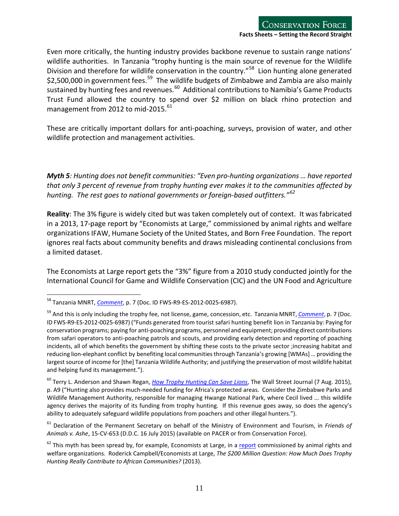Even more critically, the hunting industry provides backbone revenue to sustain range nations' wildlife authorities. In Tanzania "trophy hunting is the main source of revenue for the Wildlife Division and therefore for wildlife conservation in the country."<sup>[58](#page-10-1)</sup> Lion hunting alone generated \$2,500,000 in government fees.<sup>[59](#page-10-2)</sup> The wildlife budgets of Zimbabwe and Zambia are also mainly sustained by hunting fees and revenues.<sup>60</sup> Additional contributions to Namibia's Game Products Trust Fund allowed the country to spend over \$2 million on black rhino protection and management from 2012 to mid-2015.<sup>[61](#page-10-4)</sup>

<span id="page-10-0"></span>These are critically important dollars for anti-poaching, surveys, provision of water, and other wildlife protection and management activities.

*Myth 5: Hunting does not benefit communities: "Even pro-hunting organizations … have reported that only 3 percent of revenue from trophy hunting ever makes it to the communities affected by hunting. The rest goes to national governments or foreign-based outfitters."[62](#page-10-5)*

**Reality**: The 3% figure is widely cited but was taken completely out of context. It wasfabricated in a 2013, 17-page report by "Economists at Large," commissioned by animal rights and welfare organizations IFAW, Humane Society of the United States, and Born Free Foundation. The report ignores real facts about community benefits and draws misleading continental conclusions from a limited dataset.

The Economists at Large report gets the "3%" figure from a 2010 study conducted jointly for the International Council for Game and Wildlife Conservation (CIC) and the UN Food and Agriculture

<span id="page-10-4"></span><sup>61</sup> Declaration of the Permanent Secretary on behalf of the Ministry of Environment and Tourism, in *Friends of Animals v. Ashe*, 15-CV-653 (D.D.C. 16 July 2015) (available on PACER or from Conservation Force).

<span id="page-10-1"></span><sup>58</sup> Tanzania MNRT, *[Comment](http://www.regulations.gov/%23!documentDetail;D=FWS-R9-ES-2012-0025-6987)*, p. 7 (Doc. ID FWS-R9-ES-2012-0025-6987).  $\overline{a}$ 

<span id="page-10-2"></span><sup>59</sup> And this is only including the trophy fee, not license, game, concession, etc. Tanzania MNRT, *[Comment](http://www.regulations.gov/%23!documentDetail;D=FWS-R9-ES-2012-0025-6987)*, p. 7 (Doc. ID FWS-R9-ES-2012-0025-6987) ("Funds generated from tourist safari hunting benefit lion in Tanzania by: Paying for conservation programs; paying for anti-poaching programs, personnel and equipment; providing direct contributions from safari operators to anti-poaching patrols and scouts, and providing early detection and reporting of poaching incidents, all of which benefits the government by shifting these costs to the private sector ;increasing habitat and reducing lion-elephant conflict by benefiting local communitiesthrough Tanzania's growing [WMAs] … providing the largest source of income for [the] Tanzania Wildlife Authority; and justifying the preservation of most wildlife habitat and helping fund its management.").

<span id="page-10-3"></span><sup>60</sup> Terry L. Anderson and Shawn Regan, *[How Trophy Hunting Can Save Lions](http://www.google.com/url?sa=t&rct=j&q=&esrc=s&source=web&cd=1&cad=rja&uact=8&ved=0CB4QFjAAahUKEwipy6zTmcfHAhWBPogKHf6NCTQ&url=http%3A%2F%2Fwww.wsj.com%2Farticles%2Fhow-trophy-hunting-can-save-lions-1438903734&ei=lO3dVamxDoH9oAT-m6agAw&usg=AFQjCNHjupV2Ijcp)*, The Wall Street Journal (7 Aug. 2015), p. A9 ("Hunting also provides much-needed funding for Africa's protected areas. Consider the Zimbabwe Parks and Wildlife Management Authority, responsible for managing Hwange National Park, where Cecil lived ... this wildlife agency derives the majority of its funding from trophy hunting. If this revenue goes away, so does the agency's ability to adequately safeguard wildlife populations from poachers and other illegal hunters.").

<span id="page-10-5"></span> $62$  This myth has been spread by, for example, Economists at Large, in a [report](http://www.ecolarge.com/wp-content/uploads/2013/06/Ecolarge-2013-200m-question-FINAL-lowres.pdf) commissioned by animal rights and welfare organizations. Roderick Campbell/Economists at Large, *The \$200 Million Question: How Much Does Trophy Hunting Really Contribute to African Communities?* (2013).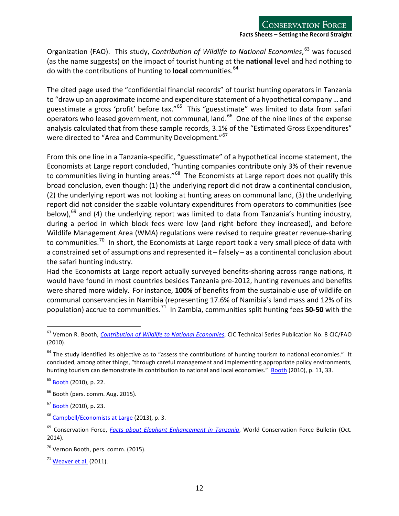Organization (FAO). This study, *Contribution of Wildlife to National Economies*, [63](#page-11-0) was focused (as the name suggests) on the impact of tourist hunting at the **national** level and had nothing to do with the contributions of hunting to **local** communities.<sup>[64](#page-11-1)</sup>

The cited page used the "confidential financial records" of tourist hunting operators in Tanzania to "draw up an approximate income and expenditure statement of a hypothetical company…and guesstimate a gross 'profit' before tax."[65](#page-11-2) This "guesstimate" was limited to data from safari operators who leased government, not communal, land.<sup>66</sup> One of the nine lines of the expense analysis calculated that from these sample records, 3.1% of the "Estimated Gross Expenditures" were directed to "Area and Community Development."<sup>[67](#page-11-4)</sup>

From this one line in a Tanzania-specific, "guesstimate" of a hypothetical income statement, the Economists at Large report concluded, "hunting companies contribute only 3% of their revenue to communities living in hunting areas."<sup>68</sup> The Economists at Large report does not qualify this broad conclusion, even though: (1) the underlying report did not draw a continental conclusion, (2) the underlying report was not looking at hunting areas on communal land, (3) the underlying report did not consider the sizable voluntary expenditures from operators to communities (see below),<sup>[69](#page-11-6)</sup> and (4) the underlying report was limited to data from Tanzania's hunting industry, during a period in which block fees were low (and right before they increased), and before Wildlife Management Area (WMA) regulations were revised to require greater revenue-sharing to communities.<sup>[70](#page-11-7)</sup> In short, the Economists at Large report took a very small piece of data with a constrained set of assumptions and represented it – falsely – as a continental conclusion about the safari hunting industry.

Had the Economists at Large report actually surveyed benefits-sharing across range nations, it would have found in most countries besides Tanzania pre-2012, hunting revenues and benefits were shared more widely. For instance, **100%** of benefits from the sustainable use of wildlife on communal conservancies in Namibia (representing 17.6% of Namibia's land mass and 12% of its population) accrue to communities.<sup>[71](#page-11-8)</sup> In Zambia, communities split hunting fees 50-50 with the

<span id="page-11-0"></span><sup>&</sup>lt;sup>63</sup> Vernon R. Booth, *Contribution of Wildlife to National Economies,* CIC Technical Series Publication No. 8 CIC/FAO (2010).

<span id="page-11-1"></span> $64$  The study identified its objective as to "assess the contributions of hunting tourism to national economies." It concluded, among other things, "through careful management and implementing appropriate policy environments, hunting tourism can demonstrate its contribution to national and local economies." Booth (2010), p. 11, 33.

<span id="page-11-2"></span><sup>65</sup> Booth (2010), p. 22.

<span id="page-11-3"></span> $66$  Booth (pers. comm. Aug. 2015).

<span id="page-11-4"></span><sup>&</sup>lt;sup>67</sup> Booth (2010), p. 23.

<span id="page-11-5"></span><sup>&</sup>lt;sup>68</sup> [Campbell/Economists at Large](http://www.ecolarge.com/wp-content/uploads/2013/06/Ecolarge-2013-200m-question-FINAL-lowres.pdf) (2013), p. 3.

<span id="page-11-6"></span><sup>69</sup> Conservation Force, *Facts about Elephant [Enhancement](https://www.google.com/url?sa=t&rct=j&q=&esrc=s&source=web&cd=1&cad=rja&uact=8&ved=0CB8QFjAAahUKEwjAz7_vhMLHAhUKTJIKHdSsAW8&url=https%3A%2F%2Fwww.conservationforce.org%2Fpdf%2Fbulletins%2FConservation_Bulletin_October_2014_Issue.pdf&ei=szjbVYCqGoqYyQTU2Yb4Bg&usg=AFQjCNGcCoIc_bde_VmoT8Bfsoh40xF6RA&sig2=gtracK0DIt1oPMKu4Kj_0g) in Tanzania*, World Conservation Force Bulletin (Oct. 2014).

<span id="page-11-7"></span><sup>&</sup>lt;sup>70</sup> Vernon Booth, pers. comm. (2015).

<span id="page-11-8"></span> $71$  [Weaver et al.](http://pubs.iied.org/pdfs/14616IIED.pdf) (2011).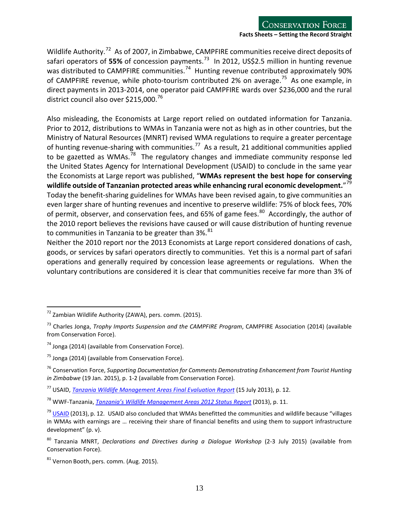Wildlife Authority.<sup>[72](#page-12-0)</sup> As of 2007, in Zimbabwe, CAMPFIRE communities receive direct deposits of safari operators of 55% of concession payments.<sup>[73](#page-12-1)</sup> In 2012, US\$2.5 million in hunting revenue was distributed to CAMPFIRE communities.<sup>74</sup> Hunting revenue contributed approximately 90% of CAMPFIRE revenue, while photo-tourism contributed 2% on average.<sup>75</sup> As one example, in direct payments in 2013-2014, one operator paid CAMPFIRE wards over \$236,000 and the rural district council also over \$215,000.<sup>[76](#page-12-4)</sup>

Also misleading, the Economists at Large report relied on outdated information for Tanzania. Prior to 2012, distributions to WMAs in Tanzania were not as high as in other countries, but the Ministry of Natural Resources (MNRT) revised WMA regulations to require a greater percentage of hunting revenue-sharing with communities.<sup>[77](#page-12-5)</sup> As a result, 21 additional communities applied to be gazetted as WMAs.<sup>[78](#page-12-6)</sup> The regulatory changes and immediate community response led the United States Agency for International Development (USAID) to conclude in the same year the Economists at Large report was published, "**WMAs represent the best hope for conserving wildlife outside of Tanzanian protected areas while enhancing rural economic development.**" [79](#page-12-7) Today the benefit-sharing guidelines for WMAs have been revised again, to give communities an even larger share of hunting revenues and incentive to preserve wildlife: 75% of block fees, 70% of permit, observer, and conservation fees, and 65% of game fees.<sup>[80](#page-12-8)</sup> Accordingly, the author of the 2010 report believes the revisions have caused or will cause distribution of hunting revenue to communities in Tanzania to be greater than  $3\%$ .  $81$ 

Neither the 2010 report nor the 2013 Economists at Large report considered donations of cash, goods, or services by safari operators directly to communities. Yet this is a normal part of safari operations and generally required by concession lease agreements or regulations. When the voluntary contributions are considered it is clear that communities receive far more than 3% of

<span id="page-12-0"></span> $72$  Zambian Wildlife Authority (ZAWA), pers. comm. (2015).

<span id="page-12-1"></span><sup>73</sup> Charles Jonga, *Trophy Imports Suspension and the CAMPFIRE Program*, CAMPFIRE Association (2014) (available from Conservation Force).

<span id="page-12-2"></span> $74$  Jonga (2014) (available from Conservation Force).

<span id="page-12-3"></span><sup>&</sup>lt;sup>75</sup> Jonga (2014) (available from Conservation Force).

<span id="page-12-4"></span><sup>76</sup> Conservation Force, *Supporting Documentation for Comments Demonstrating Enhancement from Tourist Hunting in Zimbabwe* (19 Jan. 2015), p. 1-2 (available from Conservation Force).

<span id="page-12-5"></span><sup>77</sup> USAID, *[Tanzania Wildlife Management Areas Final Evaluation Report](http://pdf.usaid.gov/pdf_docs/pdacy083.pdf)* (15 July 2013), p. 12.

<span id="page-12-6"></span><sup>78</sup> WWF-Tanzania, *[Tanzania's Wildlife Management Areas 2012 Status Report](http://www.twma.co.tz/uploads/WMA_Status_Report_2012_Final.pdf)* (2013), p. 11.

<span id="page-12-7"></span> $79$  [USAID](http://pdf.usaid.gov/pdf_docs/pdacy083.pdf) (2013), p. 12. USAID also concluded that WMAs benefitted the communities and wildlife because "villages in WMAs with earnings are … receiving their share of financial benefits and using them to support infrastructure development" (p. v).

<span id="page-12-8"></span><sup>80</sup> Tanzania MNRT, *Declarations and Directives during a Dialogue Workshop* (2-3 July 2015) (available from Conservation Force).

<span id="page-12-9"></span> $81$  Vernon Booth, pers. comm. (Aug. 2015).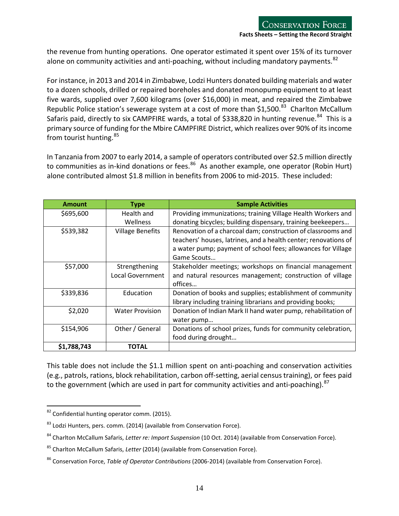the revenue from hunting operations. One operator estimated it spent over 15% of its turnover alone on community activities and anti-poaching, without including mandatory payments.<sup>[82](#page-13-0)</sup>

For instance, in 2013 and 2014 in Zimbabwe, Lodzi Hunters donated building materials and water to a dozen schools, drilled or repaired boreholes and donated monopump equipment to at least five wards, supplied over 7,600 kilograms (over \$16,000) in meat, and repaired the Zimbabwe Republic Police station's sewerage system at a cost of more than \$1,500.<sup>83</sup> Charlton McCallum Safaris paid, directly to six CAMPFIRE wards, a total of \$338,820 in hunting revenue.<sup>84</sup> This is a primary source of funding for the Mbire CAMPFIRE District, which realizes over 90% of its income from tourist hunting.<sup>[85](#page-13-3)</sup>

In Tanzania from 2007 to early 2014, a sample of operators contributed over \$2.5 million directly to communities as in-kind donations or fees. $86$  As another example, one operator (Robin Hurt) alone contributed almost \$1.8 million in benefits from 2006 to mid-2015. These included:

| <b>Amount</b> | <b>Type</b>             | <b>Sample Activities</b>                                        |
|---------------|-------------------------|-----------------------------------------------------------------|
| \$695,600     | Health and              | Providing immunizations; training Village Health Workers and    |
|               | Wellness                | donating bicycles; building dispensary, training beekeepers     |
| \$539,382     | <b>Village Benefits</b> | Renovation of a charcoal dam; construction of classrooms and    |
|               |                         | teachers' houses, latrines, and a health center; renovations of |
|               |                         | a water pump; payment of school fees; allowances for Village    |
|               |                         | Game Scouts                                                     |
| \$57,000      | Strengthening           | Stakeholder meetings; workshops on financial management         |
|               | <b>Local Government</b> | and natural resources management; construction of village       |
|               |                         | offices                                                         |
| \$339,836     | Education               | Donation of books and supplies; establishment of community      |
|               |                         | library including training librarians and providing books;      |
| \$2,020       | <b>Water Provision</b>  | Donation of Indian Mark II hand water pump, rehabilitation of   |
|               |                         | water pump                                                      |
| \$154,906     | Other / General         | Donations of school prizes, funds for community celebration,    |
|               |                         | food during drought                                             |
| \$1,788,743   | TOTAL                   |                                                                 |

<span id="page-13-5"></span>This table does not include the \$1.1 million spent on anti-poaching and conservation activities (e.g., patrols, rations, block rehabilitation, carbon off-setting, aerial censustraining), or fees paid to the government (which are used in part for community activities and anti-poaching).<sup>[87](#page-13-5)</sup>

<span id="page-13-0"></span> $82$  Confidential hunting operator comm. (2015).  $\overline{a}$ 

<span id="page-13-1"></span><sup>&</sup>lt;sup>83</sup> Lodzi Hunters, pers. comm. (2014) (available from Conservation Force).

<span id="page-13-2"></span><sup>84</sup> Charlton McCallum Safaris, *Letter re: Import Suspension* (10 Oct. 2014) (available from Conservation Force).

<span id="page-13-3"></span><sup>85</sup> Charlton McCallum Safaris, *Letter* (2014) (available from Conservation Force).

<span id="page-13-4"></span><sup>86</sup> Conservation Force, *Table of Operator Contributions* (2006-2014) (available from Conservation Force).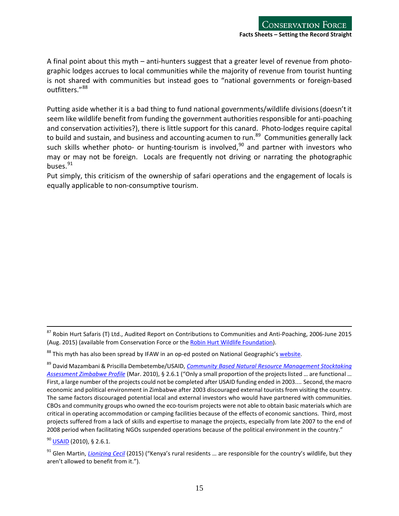A final point about this myth – anti-hunters suggest that a greater level of revenue from photographic lodges accrues to local communities while the majority of revenue from tourist hunting is not shared with communities but instead goes to "national governments or foreign-based outfitters."[88](#page-14-1)

Putting aside whether it is a bad thing to fund national governments/wildlife divisions (doesn't it seem like wildlife benefit from funding the government authorities responsible for anti-poaching and conservation activities?), there is little support for this canard. Photo-lodges require capital to build and sustain, and business and accounting acumen to run.<sup>[89](#page-14-2)</sup> Communities generally lack such skills whether photo- or hunting-tourism is involved,<sup>[90](#page-14-3)</sup> and partner with investors who may or may not be foreign. Locals are frequently not driving or narrating the photographic buses. $91$ 

<span id="page-14-0"></span>Put simply, this criticism of the ownership of safari operations and the engagement of locals is equally applicable to non-consumptive tourism.

<span id="page-14-3"></span><sup>90</sup> [USAID](http://pdf.usaid.gov/pdf_docs/pdacy083.pdf) (2010), § 2.6.1.

 $^{87}$  Robin Hurt Safaris (T) Ltd., Audited Report on Contributions to Communities and Anti-Poaching, 2006-June 2015 (Aug. 2015) (available from Conservation Force or the [Robin Hurt Wildlife Foundation\)](http://www.robinhurt.com/robin-hurt-wildlife-foundation/robin-hurt-wildlife-foundation.html).

<span id="page-14-1"></span><sup>&</sup>lt;sup>88</sup> This myth has also been spread by IFAW in an op-ed posted on National Geographic'[s website.](http://news.nationalgeographic.com/news/2013/08/130802-lions-trophy-hunting-extinction-opinion-animals-africa-conservation/)

<span id="page-14-2"></span><sup>89</sup> David Mazambani & Priscilla Dembetembe/USAID, *[Community Based Natural Resource Management Stocktaking](https://www.google.com/url?sa=t&rct=j&q=&esrc=s&source=web&cd=4&cad=rja&uact=8&ved=0CDcQFjADahUKEwi61aD5-sLHAhVWf5IKHZ4EBMM&url=http%3A%2F%2Fpdf.usaid.gov%2Fpdf_docs%2FPA00JRRM.pdf&ei=g7TbVfqHEdb-yQSeiZCYDA&usg=AFQjCNF88jE_lKhX0vNErOemtINtcj0ykw&sig2=VjwnxhQDpck06lrWVa8X-g)  [Assessment Zimbabwe](https://www.google.com/url?sa=t&rct=j&q=&esrc=s&source=web&cd=4&cad=rja&uact=8&ved=0CDcQFjADahUKEwi61aD5-sLHAhVWf5IKHZ4EBMM&url=http%3A%2F%2Fpdf.usaid.gov%2Fpdf_docs%2FPA00JRRM.pdf&ei=g7TbVfqHEdb-yQSeiZCYDA&usg=AFQjCNF88jE_lKhX0vNErOemtINtcj0ykw&sig2=VjwnxhQDpck06lrWVa8X-g) Profile* (Mar. 2010), § 2.6.1 ("Only a small proportion of the projectslisted … are functional … First, a large number of the projects could not be completed after USAID funding ended in 2003.... Second, the macro economic and political environment in Zimbabwe after 2003 discouraged external tourists from visiting the country. The same factors discouraged potential local and external investors who would have partnered with communities. CBOs and community groups who owned the eco-tourism projects were not able to obtain basic materials which are critical in operating accommodation or camping facilities because of the effects of economic sanctions. Third, most projects suffered from a lack of skills and expertise to manage the projects, especially from late 2007 to the end of 2008 period when facilitating NGOs suspended operations because of the political environment in the country."

<span id="page-14-4"></span><sup>91</sup> Glen Martin, *[Lionizing Cecil](http://alumni.berkeley.edu/california-magazine/just-in/2015-08-05/lionizing-cecil-makes-us-feel-good-trophy-hunting-ban-will)* (2015) ("Kenya's rural residents … are responsible for the country's wildlife, but they aren't allowed to benefit from it.").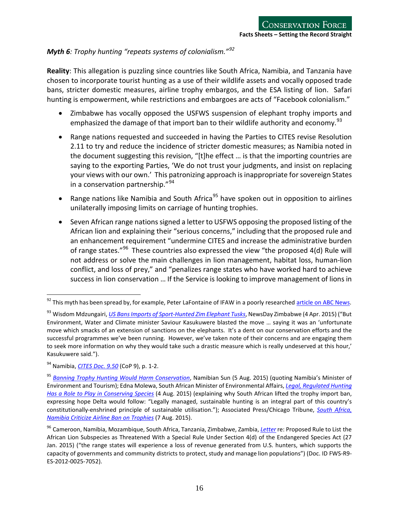# *Myth 6: Trophy hunting "repeats systems of colonialism."[92](#page-15-0)*

**Reality**: This allegation is puzzling since countries like South Africa, Namibia, and Tanzania have chosen to incorporate tourist hunting as a use of their wildlife assets and vocally opposed trade bans, stricter domestic measures, airline trophy embargos, and the ESA listing of lion. Safari hunting is empowerment, while restrictions and embargoes are acts of "Facebook colonialism."

- Zimbabwe has vocally opposed the USFWS suspension of elephant trophy imports and emphasized the damage of that import ban to their wildlife authority and economy.<sup>[93](#page-15-1)</sup>
- Range nations requested and succeeded in having the Parties to CITES revise Resolution 2.11 to try and reduce the incidence of stricter domestic measures; as Namibia noted in the document suggesting this revision, "[t]he effect … is that the importing countries are saying to the exporting Parties, 'We do not trust your judgments, and insist on replacing your views with our own.' This patronizing approach is inappropriate for sovereign States in a conservation partnership."<sup>[94](#page-15-2)</sup>
- Range nations like Namibia and South Africa<sup>[95](#page-15-3)</sup> have spoken out in opposition to airlines unilaterally imposing limits on carriage of hunting trophies.
- Seven African range nations signed a letter to USFWS opposing the proposed listing of the African lion and explaining their "serious concerns," including that the proposed rule and an enhancement requirement "undermine CITES and increase the administrative burden of range states."<sup>[96](#page-15-4)</sup> These countries also expressed the view "the proposed 4(d) Rule will not address or solve the main challenges in lion management, habitat loss, human-lion conflict, and loss of prey," and "penalizes range states who have worked hard to achieve success in lion conservation … If the Service is looking to improve management of lions in

<span id="page-15-0"></span><sup>&</sup>lt;sup>92</sup> This myth has been spread by, for example, Peter LaFontaine of IFAW in a poorly researched <u>article on ABC News</u>.  $\overline{a}$ 

<span id="page-15-1"></span><sup>93</sup> Wisdom Mdzungairi, *US BansImports of [Sport-Hunted](https://www.newsday.co.zw/2014/04/08/us-bans-imports-sport-hunted-zim-elephant-tusks/) Zim Elephant Tusks*, NewsDay Zimbabwe (4 Apr. 2015) ("But Environment, Water and Climate minister Saviour Kasukuwere blasted the move … saying it was an 'unfortunate move which smacks of an extension of sanctions on the elephants. It's a dent on our conservation efforts and the successful programmes we've been running. However, we've taken note of their concerns and are engaging them to seek more information on why they would take such a drastic measure which is really undeserved at this hour,' Kasukuwere said.").

<span id="page-15-2"></span><sup>94</sup> Namibia, *[CITES Doc. 9.50](https://www.cites.org/sites/default/files/eng/cop/09/doc/E9-Doc-50.pdf)* (CoP 9), p. 1-2.

<span id="page-15-3"></span><sup>95</sup> *[Banning Trophy Hunting Would Harm Conservation](http://www.namibiansun.com/crime/banning-trophy-hunting-would-harm-conservation.82312)*, Namibian Sun (5 Aug. 2015) (quoting Namibia's Minister of Environment and Tourism); Edna Molewa, South African Minister of Environmental Affairs, *Legal, Regulated Hunting Has a Role to Play in Conserving Species* (4 Aug. 2015) (explaining why South African lifted the trophy import ban, expressing hope Delta would follow: "Legally managed, sustainable hunting is an integral part of this country's constitutionally-enshrined principle of sustainable utilisation."); Associated Press/Chicago Tribune, *[South Africa,](http://www.chicagotribune.com/news/nationworld/ct-trophies-airline-ban-20150807-story.html)  [Namibia Criticize Airline Ban on Trophies](http://www.chicagotribune.com/news/nationworld/ct-trophies-airline-ban-20150807-story.html)* (7 Aug. 2015).

<span id="page-15-4"></span><sup>96</sup> Cameroon, Namibia, Mozambique, South Africa, Tanzania, Zimbabwe, Zambia, *[Letter](http://www.regulations.gov/%23!documentDetail;D=FWS-R9-ES-2012-0025-7052)* re: Proposed Rule to List the African Lion Subspecies as Threatened With a Special Rule Under Section 4(d) of the Endangered Species Act (27 Jan. 2015) ("the range states will experience a loss of revenue generated from U.S. hunters, which supports the capacity of governments and community districts to protect, study and manage lion populations") (Doc. ID FWS-R9- ES-2012-0025-7052).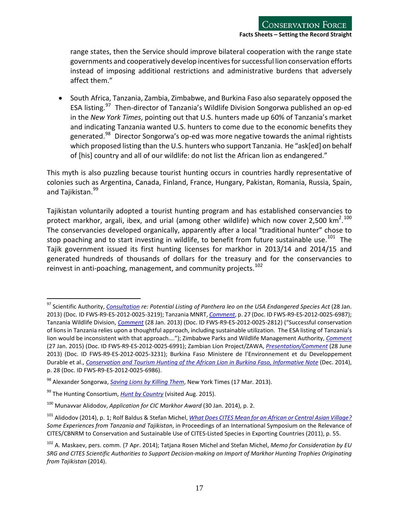range states, then the Service should improve bilateral cooperation with the range state governments and cooperatively develop incentivesforsuccessful lion conservation efforts instead of imposing additional restrictions and administrative burdens that adversely affect them."

• South Africa, Tanzania, Zambia, Zimbabwe, and Burkina Faso also separately opposed the ESA listing.<sup>[97](#page-16-0)</sup> Then-director of Tanzania's Wildlife Division Songorwa published an op-ed in the *New York Times*, pointing out that U.S. hunters made up 60% of Tanzania's market and indicating Tanzania wanted U.S. hunters to come due to the economic benefits they generated.<sup>98</sup> Director Songorwa's op-ed was more negative towards the animal rightists which proposed listing than the U.S. hunters who support Tanzania. He "ask[ed] on behalf of [his] country and all of our wildlife: do not list the African lion as endangered."

This myth is also puzzling because tourist hunting occurs in countries hardly representative of colonies such as Argentina, Canada, Finland, France, Hungary, Pakistan, Romania, Russia, Spain, and Tajikistan.<sup>[99](#page-16-2)</sup>

Tajikistan voluntarily adopted a tourist hunting program and has established conservancies to protect markhor, argali, ibex, and urial (among other wildlife) which now cover 2,500 km<sup>2</sup>.<sup>[100](#page-16-3)</sup> The conservancies developed organically, apparently after a local "traditional hunter" chose to stop poaching and to start investing in wildlife, to benefit from future sustainable use.<sup>101</sup> The Tajik government issued its first hunting licenses for markhor in 2013/14 and 2014/15 and generated hundreds of thousands of dollars for the treasury and for the conservancies to reinvest in anti-poaching, management, and community projects.<sup>[102](#page-16-5)</sup>

<span id="page-16-0"></span><sup>97</sup> Scientific Authority, *[Consultation](http://www.regulations.gov/%23!documentDetail;D=FWS-R9-ES-2012-0025-3219) re: Potential Listing of Panthera leo on the USA Endangered Species Act* (28 Jan. 2013) (Doc. ID FWS-R9-ES-2012-0025-3219); Tanzania MNRT, *[Comment](http://www.regulations.gov/%23!documentDetail;D=FWS-R9-ES-2012-0025-6987)*, p. 27 (Doc. ID FWS-R9-ES-2012-0025-6987); Tanzania Wildlife Division, *[Comment](http://www.regulations.gov/%23!documentDetail;D=FWS-R9-ES-2012-0025-2812)* (28 Jan. 2013) (Doc. ID FWS-R9-ES-2012-0025-2812) ("Successful conservation of lions in Tanzania relies upon a thoughtful approach, including sustainable utilization. The ESA listing of Tanzania's lion would be inconsistent with that approach…."); Zimbabwe Parks and Wildlife Management Authority, *[Comment](http://www.regulations.gov/%23!documentDetail;D=FWS-R9-ES-2012-0025-6991)* (27 Jan. 2015) (Doc. ID FWS-R9-ES-2012-0025-6991); Zambian Lion Project/ZAWA, *[Presentation/Comment](http://www.regulations.gov/%23!documentDetail;D=FWS-R9-ES-2012-0025-3231)* (28 June 2013) (Doc. ID FWS-R9-ES-2012-0025-3231); Burkina Faso Ministere de l'Environnement et du Developpement Durable et al., *[Conservation and Tourism Hunting of the African Lion in Burkina Faso, Informative Note](http://www.regulations.gov/%23!documentDetail;D=FWS-R9-ES-2012-0025-6986)* (Dec. 2014), p. 28 (Doc. ID FWS-R9-ES-2012-0025-6986).

<span id="page-16-1"></span><sup>98</sup> Alexander Songorwa, *[Saving Lions by Killing Them](http://www.google.com/url?sa=t&rct=j&q=&esrc=s&source=web&cd=1&cad=rja&uact=8&ved=0CB8QFjAAahUKEwi0rMjzk8fHAhXPOIgKHbRdCPA&url=http%3A%2F%2Fwww.nytimes.com%2F2013%2F03%2F18%2Fopinion%2Fsaving-lions-by-killing-them.html&ei=jefdVfSxC8_xoAS0u6GADw&usg=AFQjCNG)*, New York Times (17 Mar. 2013).

<span id="page-16-2"></span><sup>99</sup> The Hunting Consortium, *[Hunt by Country](http://huntingconsortium.com/huntbycountry.htm)* (visited Aug. 2015).

<span id="page-16-3"></span><sup>100</sup> Munavvar Alidodov, *Application for CIC Markhor Award* (30 Jan. 2014), p. 2.

<span id="page-16-4"></span><sup>101</sup> Alidodov (2014), p. 1; Rolf Baldus & Stefan Michel, *What Does CITES Mean for an African or Central Asian [Village?](https://www.google.com/url?sa=t&rct=j&q=&esrc=s&source=web&cd=1&cad=rja&uact=8&ved=0CB8QFjAAahUKEwjH7O7ihsPHAhULD5IKHQ42A04&url=http%3A%2F%2Fwww.cites.org%2Feng%2Fnews%2Fcalendar%2FAgenda-CBNRM.pdf&ei=6cDbVYfUIYueyASO7IzwBA&usg=AFQjCNHoOhzkFtA-88Jj6k3ifFkPbHX1nQ&sig2=zsYO0Sty-mABV5hthriBqQ) Some Experiences from Tanzania and Tajikistan*, in Proceedings of an International Symposium on the Relevance of CITES/CBNRM to Conservation and Sustainable Use of CITES-Listed Species in Exporting Countries (2011), p. 55.

<span id="page-16-5"></span><sup>102</sup> A. Maskaev, pers. comm. (7 Apr. 2014); Tatjana Rosen Michel and Stefan Michel, *Memo for Consideration by EU SRG and CITES Scientific Authorities to Support Decision-making on Import of Markhor Hunting Trophies Originating from Tajikistan* (2014).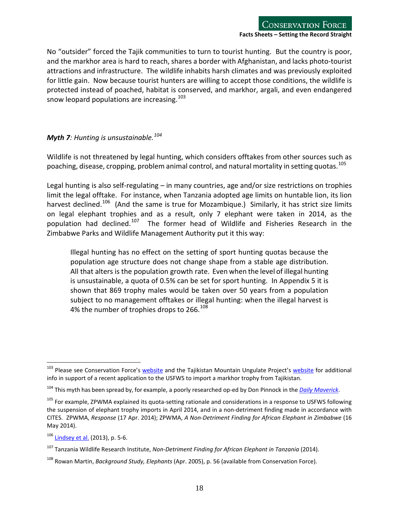No "outsider" forced the Tajik communities to turn to tourist hunting. But the country is poor, and the markhor area is hard to reach, shares a border with Afghanistan, and lacks photo-tourist attractions and infrastructure. The wildlife inhabits harsh climates and was previously exploited for little gain. Now because tourist hunters are willing to accept those conditions, the wildlife is protected instead of poached, habitat is conserved, and markhor, argali, and even endangered snow leopard populations are increasing.  $103$ 

#### <span id="page-17-0"></span>*Myth 7: Hunting is unsustainable.[104](#page-17-2)*

Wildlife is not threatened by legal hunting, which considers offtakes from other sources such as poaching, disease, cropping, problem animal control, and natural mortality in setting quotas. [105](#page-17-3)

Legal hunting is also self-regulating – in many countries, age and/or size restrictions on trophies limit the legal offtake. For instance, when Tanzania adopted age limits on huntable lion, its lion harvest declined.<sup>[106](#page-17-4)</sup> (And the same is true for Mozambique.) Similarly, it has strict size limits on legal elephant trophies and as a result, only 7 elephant were taken in 2014, as the population had declined.<sup>107</sup> The former head of Wildlife and Fisheries Research in the Zimbabwe Parks and Wildlife Management Authority put it this way:

Illegal hunting has no effect on the setting of sport hunting quotas because the population age structure does not change shape from a stable age distribution. All that alters is the population growth rate. Even when the level of illegal hunting is unsustainable, a quota of 0.5% can be set for sport hunting. In Appendix 5 it is shown that 869 trophy males would be taken over 50 years from a population subject to no management offtakes or illegal hunting: when the illegal harvest is 4% the number of trophies drops to 266.<sup>[108](#page-17-6)</sup>

<span id="page-17-1"></span><sup>&</sup>lt;sup>103</sup> Please see Conservation Force's <u>website</u> and the Tajikistan Mountain Ungulate Project's [website](http://www.wildlife-tajikistan.org/) for additional info in support of a recent application to the USFWS to import a markhor trophy from Tajikistan.

<span id="page-17-2"></span><sup>104</sup> This myth has been spread by, for example, a poorly researched op-ed by Don Pinnock in the *[Daily Maverick](https://www.google.com/url?q=http://www.dailymaverick.co.za/article/2015-08-20-op-ed-is-trophy-hunting-really-sustainable/&sa=U&ved=0CAUQFjAAahUKEwjojKj7jsPHAhVMEpIKHTuZBD4&client=internal-uds-cse&usg=AFQjCNHZkpR9VQzRq4Gg2RjgI7gJ0QXzqw)*.

<span id="page-17-3"></span><sup>&</sup>lt;sup>105</sup> For example, ZPWMA explained its quota-setting rationale and considerations in a response to USFWS following the suspension of elephant trophy imports in April 2014, and in a non-detriment finding made in accordance with CITES. ZPWMA, *Response* (17 Apr. 2014); ZPWMA, *A Non-Detriment Finding for African Elephant in Zimbabwe* (16 May 2014).

<span id="page-17-4"></span><sup>106</sup> [Lindsey et al.](http://journals.plos.org/plosone/article?id=10.1371/journal.pone.0073808) (2013), p. 5-6.

<span id="page-17-5"></span><sup>107</sup> Tanzania Wildlife Research Institute, *Non-Detriment Finding for African Elephant in Tanzania* (2014).

<span id="page-17-6"></span><sup>108</sup> Rowan Martin, *Background Study, Elephants* (Apr. 2005), p. 56 (available from Conservation Force).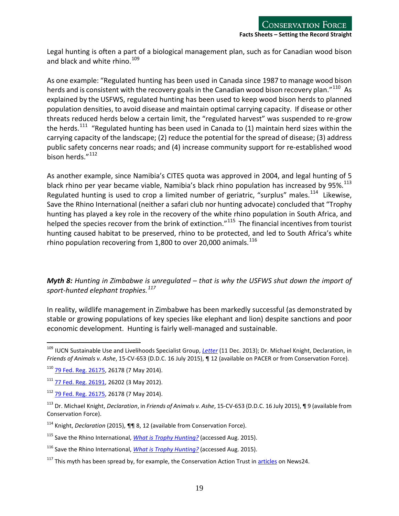Legal hunting is often a part of a biological management plan, such as for Canadian wood bison and black and white rhino. $109$ 

As one example: "Regulated hunting has been used in Canada since 1987 to manage wood bison herds and is consistent with the recovery goals in the Canadian wood bison recovery plan." $^{110}$  As explained by the USFWS, regulated hunting has been used to keep wood bison herds to planned population densities, to avoid disease and maintain optimal carrying capacity. If disease or other threats reduced herds below a certain limit, the "regulated harvest" was suspended to re-grow the herds.<sup>111</sup> "Regulated hunting has been used in Canada to (1) maintain herd sizes within the carrying capacity of the landscape; (2) reduce the potential for the spread of disease; (3) address public safety concerns near roads; and (4) increase community support for re-established wood bison herds."<sup>[112](#page-18-4)</sup>

As another example, since Namibia's CITES quota was approved in 2004, and legal hunting of 5 black rhino per year became viable, Namibia's black rhino population has increased by 95%.<sup>[113](#page-18-5)</sup> Regulated hunting is used to crop a limited number of geriatric, "surplus" males.<sup>[114](#page-18-6)</sup> Likewise, Save the Rhino International (neither a safari club nor hunting advocate) concluded that "Trophy hunting has played a key role in the recovery of the white rhino population in South Africa, and helped the species recover from the brink of extinction."<sup>[115](#page-18-7)</sup> The financial incentives from tourist hunting caused habitat to be preserved, rhino to be protected, and led to South Africa's white rhino population recovering from 1,800 to over 20,000 animals. $^{116}$  $^{116}$  $^{116}$ 

<span id="page-18-0"></span>*Myth 8: Hunting in Zimbabwe is unregulated – that is why the USFWS shut down the import of sport-hunted elephant trophies. [117](#page-18-9)*

In reality, wildlife management in Zimbabwe has been markedly successful (as demonstrated by stable or growing populations of key species like elephant and lion) despite sanctions and poor economic development. Hunting is fairly well-managed and sustainable.

<span id="page-18-1"></span><sup>109</sup> IUCN Sustainable Use and Livelihoods Specialist Group, *[Letter](http://africanindaba.com/2014/02/iucn-sustainable-use-and-livelihoods-specialist-group-supports-dsc-black-rhino-hunt-auction-february-2014-volume-12-1/)* (11 Dec. 2013); Dr. Michael Knight, Declaration, in *Friends of Animals v. Ashe*, 15-CV-653 (D.D.C. 16 July 2015), ¶ 12 (available on PACER or from Conservation Force).

<span id="page-18-2"></span><sup>110</sup> [79 Fed. Reg. 26175,](http://www.fws.gov/policy/library/2014/2014-10506.pdf) 26178 (7 May 2014).

<span id="page-18-3"></span><sup>111</sup> [77 Fed. Reg. 26191,](http://www.gpo.gov/fdsys/pkg/FR-2012-05-03/pdf/2012-10635.pdf) 26202 (3 May 2012).

<span id="page-18-4"></span><sup>112</sup> [79 Fed. Reg. 26175,](http://www.fws.gov/policy/library/2014/2014-10506.pdf) 26178 (7 May 2014).

<span id="page-18-5"></span><sup>113</sup> Dr. Michael Knight, *Declaration*, in *Friends of Animals v. Ashe*, 15-CV-653 (D.D.C. 16 July 2015), ¶ 9 (available from Conservation Force).

<span id="page-18-6"></span><sup>114</sup> Knight, *Declaration* (2015), ¶¶ 8, 12 (available from Conservation Force).

<span id="page-18-7"></span><sup>&</sup>lt;sup>115</sup> Save the Rhino International, *[What is Trophy Hunting?](https://www.google.com/url?sa=t&rct=j&q=&esrc=s&source=web&cd=1&cad=rja&uact=8&ved=0CB8QFjAAahUKEwiJ4e--ncPHAhURVZIKHX7lAI4&url=https%3A%2F%2Fwww.savetherhino.org%2Fassets%2F0001%2F7279%2FWhat_is_trophy_hunting.pdf&ei=vNjbVYmTBZGqyQT-yoPwCA&usg=AFQjCNHcesrSDj3UQRVvvNmS80dQRlgwgA&sig2=_IPbwBo0DCpjjrXr8G5v_w)* (accessed Aug. 2015).

<span id="page-18-8"></span><sup>116</sup> Save the Rhino International, *[What is Trophy Hunting?](https://www.google.com/url?sa=t&rct=j&q=&esrc=s&source=web&cd=1&cad=rja&uact=8&ved=0CB8QFjAAahUKEwiJ4e--ncPHAhURVZIKHX7lAI4&url=https%3A%2F%2Fwww.savetherhino.org%2Fassets%2F0001%2F7279%2FWhat_is_trophy_hunting.pdf&ei=vNjbVYmTBZGqyQT-yoPwCA&usg=AFQjCNHcesrSDj3UQRVvvNmS80dQRlgwgA&sig2=_IPbwBo0DCpjjrXr8G5v_w)* (accessed Aug. 2015).

<span id="page-18-9"></span> $117$  This myth has been spread by, for example, the Conservation Action Trust in [articles](http://www.news24.com/Columnists/GuestColumn/Conflating-the-figures-Zimbabwe-attempts-to-justify-selling-off-its-wild-elephants-20150415) on News24.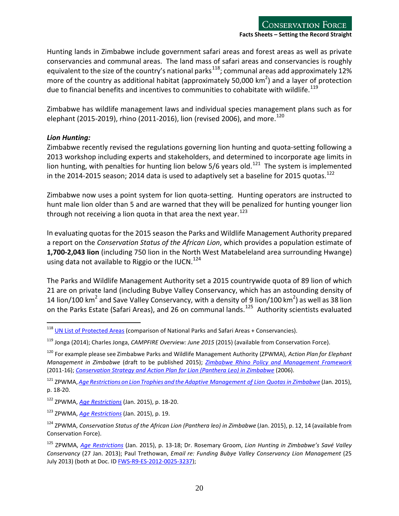Hunting lands in Zimbabwe include government safari areas and forest areas as well as private conservancies and communal areas. The land mass of safari areas and conservancies is roughly equivalent to the size of the country's national parks $^{118}$  $^{118}$  $^{118}$ ; communal areas add approximately 12% more of the country as additional habitat (approximately 50,000 km<sup>2</sup>) and a layer of protection due to financial benefits and incentives to communities to cohabitate with wildlife.<sup>[119](#page-19-1)</sup>

Zimbabwe has wildlife management laws and individual species management plans such as for elephant (2015-2019), rhino (2011-2016), lion (revised 2006), and more.<sup>[120](#page-19-2)</sup>

### *Lion Hunting:*

Zimbabwe recently revised the regulations governing lion hunting and quota-setting following a 2013 workshop including experts and stakeholders, and determined to incorporate age limits in lion hunting, with penalties for hunting lion below  $5/6$  years old.<sup>121</sup> The system is implemented in the 2014-2015 season; 2014 data is used to adaptively set a baseline for 2015 quotas.<sup>[122](#page-19-4)</sup>

Zimbabwe now uses a point system for lion quota-setting. Hunting operators are instructed to hunt male lion older than 5 and are warned that they will be penalized for hunting younger lion through not receiving a lion quota in that area the next year.<sup>[123](#page-19-5)</sup>

In evaluating quotas for the 2015 season the Parks and Wildlife Management Authority prepared a report on the *Conservation Status of the African Lion*, which provides a population estimate of **1,700-2,043 lion** (including 750 lion in the North West Matabeleland area surrounding Hwange) using data not available to Riggio or the IUCN.<sup>[124](#page-19-6)</sup>

The Parks and Wildlife Management Authority set a 2015 countrywide quota of 89 lion of which 21 are on private land (including Bubye Valley Conservancy, which has an astounding density of 14 lion/100 km<sup>2</sup> and Save Valley Conservancy, with a density of 9 lion/100 km<sup>2</sup>) as well as 38 lion on the Parks Estate (Safari Areas), and 26 on communal lands.<sup>125</sup> Authority scientists evaluated

<span id="page-19-3"></span><sup>121</sup> ZPWMA,*Age Restrictions on Lion Trophies and [theAdaptive Management of Lion Quotasin](http://www.zimparks.org/images/conservation_uploads/Lion%20trophy%20age%20restrictions%20Zimbabwe%202014.pdf) Zimbabwe* (Jan. 2015), p. 18-20.

<span id="page-19-0"></span><sup>&</sup>lt;sup>118</sup> [UN List of Protected Areas](http://blog.protectedplanet.net/post/102481051829/2014-united-nations-list-of-protected-areas) (comparison of National Parks and Safari Areas + Conservancies).  $\overline{a}$ 

<span id="page-19-1"></span><sup>119</sup> Jonga (2014); Charles Jonga, *CAMPFIRE Overview: June 2015* (2015) (available from Conservation Force).

<span id="page-19-2"></span><sup>120</sup> For example please see Zimbabwe Parks and Wildlife Management Authority (ZPWMA), *Action Plan for Elephant Management in Zimbabwe* (draft to be published 2015); *Zimbabwe Rhino Policy and [Management](http://www.rhinoresourcecenter.com/pdf_files/137/1376469241.pdf) Framework* (2011-16); *[Conservation Strategy and Action Plan for Lion \(Panthera Leo\) in Zimbabwe](http://www.zimparks.org/images/conservation_uploads/conservation_strategy.pdf)* (2006).

<span id="page-19-4"></span><sup>122</sup> ZPWMA, *[Age Restrictions](http://www.zimparks.org/images/conservation_uploads/Lion%20trophy%20age%20restrictions%20Zimbabwe%202014.pdf)* (Jan. 2015), p. 18-20.

<span id="page-19-5"></span><sup>123</sup> ZPWMA, *[Age Restrictions](http://www.zimparks.org/images/conservation_uploads/Lion%20trophy%20age%20restrictions%20Zimbabwe%202014.pdf)* (Jan. 2015), p. 19.

<span id="page-19-6"></span><sup>124</sup> ZPWMA, *Conservation Status of the African Lion (Panthera leo) in Zimbabwe* (Jan. 2015), p. 12, 14 (available from Conservation Force).

<span id="page-19-7"></span><sup>125</sup> ZPWMA, *[Age Restrictions](http://www.zimparks.org/images/conservation_uploads/Lion%20trophy%20age%20restrictions%20Zimbabwe%202014.pdf)* (Jan. 2015), p. 13-18; Dr. Rosemary Groom, *Lion Hunting in Zimbabwe's Savé Valley Conservancy* (27 Jan. 2013); Paul Trethowan, *Email re: Funding Bubye Valley Conservancy Lion Management* (25 July 2013) (both at Doc. ID [FWS-R9-ES-2012-0025-3237\)](http://www.regulations.gov/%23!documentDetail;D=FWS-R9-ES-2012-0025-3237);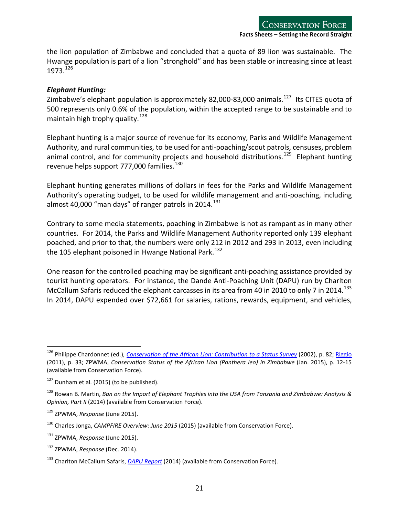the lion population of Zimbabwe and concluded that a quota of 89 lion was sustainable. The Hwange population is part of a lion "stronghold" and has been stable or increasing since at least 1973.[126](#page-20-0)

#### *Elephant Hunting:*

Zimbabwe's elephant population is approximately 82,000-83,000 animals.<sup>[127](#page-20-1)</sup> Its CITES quota of 500 represents only 0.6% of the population, within the accepted range to be sustainable and to maintain high trophy quality.<sup>[128](#page-20-2)</sup>

Elephant hunting is a major source of revenue for its economy, Parks and Wildlife Management Authority, and rural communities, to be used for anti-poaching/scout patrols, censuses, problem animal control, and for community projects and household distributions.<sup>129</sup> Elephant hunting revenue helps support 777,000 families.<sup>[130](#page-20-4)</sup>

Elephant hunting generates millions of dollars in fees for the Parks and Wildlife Management Authority's operating budget, to be used for wildlife management and anti-poaching, including almost 40,000 "man days" of ranger patrols in 2014. $^{131}$  $^{131}$  $^{131}$ 

Contrary to some media statements, poaching in Zimbabwe is not as rampant as in many other countries. For 2014, the Parks and Wildlife Management Authority reported only 139 elephant poached, and prior to that, the numbers were only 212 in 2012 and 293 in 2013, even including the 105 elephant poisoned in Hwange National Park.<sup>[132](#page-20-6)</sup>

One reason for the controlled poaching may be significant anti-poaching assistance provided by tourist hunting operators. For instance, the Dande Anti-Poaching Unit (DAPU) run by Charlton McCallum Safaris reduced the elephant carcasses in its area from 40 in 2010 to only 7 in 2014.<sup>[133](#page-20-7)</sup> In 2014, DAPU expended over \$72,661 for salaries, rations, rewards, equipment, and vehicles,

<span id="page-20-0"></span><sup>126</sup> Philippe Chardonnet (ed.), *[Conservation of the African Lion: Contribution to a](http://www.conservationforce.org/pdf/conservationoftheafricanlion_study_3_of_5.pdf) Status Survey* (2002), p. 82; [Riggio](http://dukespace.lib.duke.edu/dspace/bitstream/handle/10161/3714/Riggio_MP.pdf?sequence=1) (2011), p. 33; ZPWMA, *Conservation Status of the African Lion (Panthera leo) in Zimbabwe* (Jan. 2015), p. 12-15 (available from Conservation Force).

<span id="page-20-1"></span> $127$  Dunham et al. (2015) (to be published).

<span id="page-20-2"></span><sup>128</sup> Rowan B. Martin, *Ban on the Import of Elephant Trophies into the USA from Tanzania and Zimbabwe: Analysis & Opinion, Part II* (2014) (available from Conservation Force).

<span id="page-20-3"></span><sup>129</sup> ZPWMA, *Response* (June 2015).

<span id="page-20-4"></span><sup>130</sup> Charles Jonga, *CAMPFIRE Overview: June 2015* (2015) (available from Conservation Force).

<span id="page-20-5"></span><sup>131</sup> ZPWMA, *Response* (June 2015).

<span id="page-20-6"></span><sup>132</sup> ZPWMA, *Response* (Dec. 2014).

<span id="page-20-7"></span><sup>133</sup> Charlton McCallum Safaris, *[DAPU Report](http://www.cmsafaris.com/african-elephant-research/DAPU%20First%20quarter%20newsletter%202015.pdf)* (2014) (available from Conservation Force).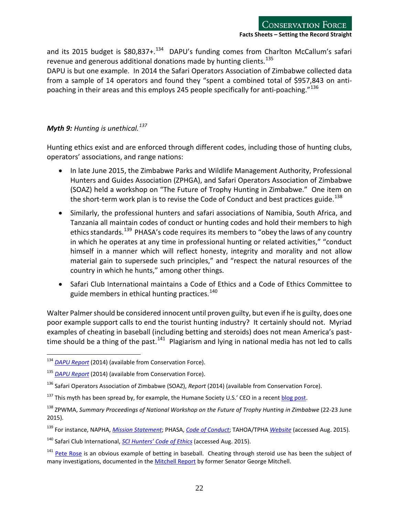and its 2015 budget is \$80,837+.<sup>[134](#page-21-1)</sup> DAPU's funding comes from Charlton McCallum's safari revenue and generous additional donations made by hunting clients.<sup>[135](#page-21-2)</sup>

<span id="page-21-0"></span>DAPU is but one example. In 2014 the Safari Operators Association of Zimbabwe collected data from a sample of 14 operators and found they "spent a combined total of \$957,843 on antipoaching in their areas and this employs 245 people specifically for anti-poaching. $136$ 

# *Myth 9: Hunting is unethical.[137](#page-21-4)*

Hunting ethics exist and are enforced through different codes, including those of hunting clubs, operators' associations, and range nations:

- In late June 2015, the Zimbabwe Parks and Wildlife Management Authority, Professional Hunters and Guides Association (ZPHGA), and Safari Operators Association of Zimbabwe (SOAZ) held a workshop on "The Future of Trophy Hunting in Zimbabwe." One item on the short-term work plan is to revise the Code of Conduct and best practices guide.<sup>[138](#page-21-5)</sup>
- Similarly, the professional hunters and safari associations of Namibia, South Africa, and Tanzania all maintain codes of conduct or hunting codes and hold their members to high ethics standards.<sup>139</sup> PHASA's code requires its members to "obey the laws of any country in which he operates at any time in professional hunting or related activities," "conduct himself in a manner which will reflect honesty, integrity and morality and not allow material gain to supersede such principles," and "respect the natural resources of the country in which he hunts," among other things.
- Safari Club International maintains a Code of Ethics and a Code of Ethics Committee to guide members in ethical hunting practices.  $140$

Walter Palmer should be considered innocent until proven guilty, but even if he is guilty, does one poor example support calls to end the tourist hunting industry? It certainly should not. Myriad examples of cheating in baseball (including betting and steroids) does not mean America's pasttime should be a thing of the past.<sup>141</sup> Plagiarism and lying in national media has not led to calls

<span id="page-21-1"></span><sup>134</sup> *[DAPU Report](http://www.cmsafaris.com/african-elephant-research/updates.html)* (2014) (available from Conservation Force).

<span id="page-21-2"></span><sup>135</sup> *[DAPU Report](http://www.cmsafaris.com/african-elephant-research/dande-anti-poaching.htm)* (2014) (available from Conservation Force).

<span id="page-21-3"></span><sup>136</sup> Safari Operators Association of Zimbabwe (SOAZ), *Report* (2014) (available from Conservation Force).

<span id="page-21-4"></span><sup>&</sup>lt;sup>137</sup> This myth has been spread by, for example, the Humane Society U.S.' CEO in a recent [blog post.](http://blog.humanesociety.org/wayne/2015/08/cecil-killing-offers-prospect-of-sweeping-reforms.html?credit=blog_post_082415_idhome-page)

<span id="page-21-5"></span><sup>138</sup> ZPWMA, *Summary Proceedings of National Workshop on the Future of Trophy Hunting in Zimbabwe* (22-23 June 2015).

<span id="page-21-6"></span><sup>139</sup> For instance, NAPHA, *[Mission Statement](http://www.napha-namibia.com/about-napha/mission-statement/)*; PHASA, *[Code of Conduct](http://www.phasa.co.za/about-phasa/code-of-conduct.html)*; TAHOA/TPHA *[Website](http://tzpha.com/index.html)* (accessed Aug. 2015).

<span id="page-21-7"></span><sup>140</sup> Safari Club International, *[SCI Hunters' Code of Ethics](http://member.scifirstforhunters.org/static/Field-Manual/2007-2008/pdfs/Ethics_Process.pdf)* (accessed Aug. 2015).

<span id="page-21-8"></span><sup>&</sup>lt;sup>141</sup> [Pete Rose](http://espn.go.com/espn/otl/story/_/id/13114874/notebook-obtained-lines-shows-pete-rose-bet-baseball-player-1986) is an obvious example of betting in baseball. Cheating through steroid use has been the subject of many investigations, documented in th[e Mitchell Report](http://files.mlb.com/mitchrpt.pdf) by former Senator George Mitchell.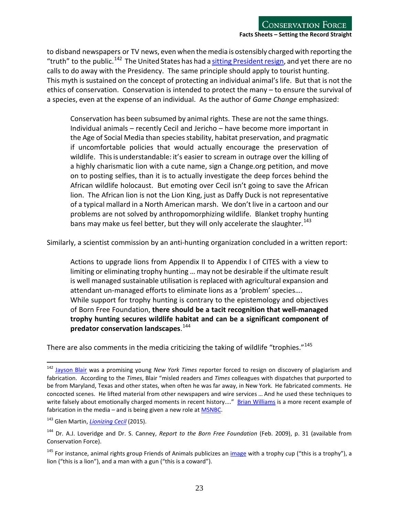to disband newspapers or TV news, even when the media is ostensibly charged with reporting the "truth" to the public.<sup>142</sup> The United States has had a sitting President resign, and yet there are no calls to do away with the Presidency. The same principle should apply to tourist hunting. This myth is sustained on the concept of protecting an individual animal's life. But that is not the ethics of conservation. Conservation is intended to protect the many – to ensure the survival of a species, even at the expense of an individual. As the author of *Game Change* emphasized:

Conservation has been subsumed by animal rights. These are not the same things. Individual animals – recently Cecil and Jericho – have become more important in the Age of Social Media than species stability, habitat preservation, and pragmatic if uncomfortable policies that would actually encourage the preservation of wildlife. This is understandable: it's easier to scream in outrage over the killing of a highly charismatic lion with a cute name, sign a Change.org petition, and move on to posting selfies, than it is to actually investigate the deep forces behind the African wildlife holocaust. But emoting over Cecil isn't going to save the African lion. The African lion is not the Lion King, just as Daffy Duck is not representative of a typical mallard in a North American marsh. We don't live in a cartoon and our problems are not solved by anthropomorphizing wildlife. Blanket trophy hunting bans may make us feel better, but they will only accelerate the slaughter.<sup>[143](#page-22-1)</sup>

Similarly, a scientist commission by an anti-hunting organization concluded in a written report:

Actions to upgrade lions from Appendix II to Appendix I of CITES with a view to limiting or eliminating trophy hunting … may not be desirable if the ultimate result is well managed sustainable utilisation is replaced with agricultural expansion and attendant un-managed efforts to eliminate lions as a 'problem' species…. While support for trophy hunting is contrary to the epistemology and objectives of Born Free Foundation, **there should be a tacit recognition that well-managed trophy hunting secures wildlife habitat and can be a significant component of predator conservation landscapes**. [144](#page-22-2)

There are also comments in the media criticizing the taking of wildlife "trophies."<sup>[145](#page-22-3)</sup>

<span id="page-22-0"></span><sup>142</sup> [Jayson Blair](http://www.nytimes.com/2003/05/11/us/correcting-the-record-times-reporter-who-resigned-leaves-long-trail-of-deception.html) was a promising young *New York Times* reporter forced to resign on discovery of plagiarism and fabrication. According to the *Times*, Blair "misled readers and *Times* colleagues with dispatches that purported to be from Maryland, Texas and other states, when often he was far away, in New York. He fabricated comments. He concocted scenes. He lifted material from other newspapers and wire services … And he used these techniques to write falsely about emotionally charged moments in recent history...." [Brian Williams](http://www.usatoday.com/story/news/nation/2015/06/19/brian-williams-nbc-today-anchor-apologizes/28971565/) is a more recent example of fabrication in the media  $-$  and is being given a new role at [MSNBC.](http://www.google.com/url?sa=t&rct=j&q=&esrc=s&source=web&cd=7&cad=rja&uact=8&ved=0CDwQFjAGahUKEwjV4Y7mr8fHAhVLMogKHdF7CXw&url=http%3A%2F%2Fwww.thedailybeast.com%2Farticles%2F2015%2F06%2F18%2Fwhy-is-brian-williams-good-enough-for-msnbc-but-not-nbc.html&ei=)

<span id="page-22-1"></span><sup>143</sup> Glen Martin, *[Lionizing Cecil](http://alumni.berkeley.edu/california-magazine/just-in/2015-08-05/lionizing-cecil-makes-us-feel-good-trophy-hunting-ban-will)* (2015).

<span id="page-22-2"></span><sup>144</sup> Dr. A.J. Loveridge and Dr. S. Canney, *Report to the Born Free Foundation* (Feb. 2009), p. 31 (available from Conservation Force).

<span id="page-22-3"></span><sup>&</sup>lt;sup>145</sup> For instance, animal rights group Friends of Animals publicizes an [image](http://purrandroar.com/tag/ban-trophy-hunting/) with a trophy cup ("this is a trophy"), a lion ("this is a lion"), and a man with a gun ("this is a coward").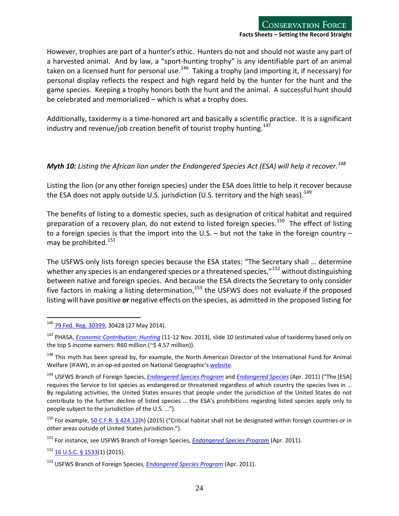However, trophies are part of a hunter's ethic. Hunters do not and should not waste any part of a harvested animal. And by law, a "sport-hunting trophy" is any identifiable part of an animal taken on a licensed hunt for personal use.<sup>146</sup> Taking a trophy (and importing it, if necessary) for personal display reflects the respect and high regard held by the hunter for the hunt and the game species. Keeping a trophy honors both the hunt and the animal. A successful hunt should be celebrated and memorialized – which is what a trophy does.

Additionally, taxidermy is a time-honored art and basically a scientific practice. It is a significant industry and revenue/job creation benefit of tourist trophy hunting.<sup>[147](#page-23-2)</sup>

### <span id="page-23-0"></span>*Myth 10: Listing the African lion under the Endangered Species Act (ESA) will help it recover.*<sup>[148](#page-23-3)</sup>

Listing the lion (or any other foreign species) under the ESA does little to help it recover because the ESA does not apply outside U.S. jurisdiction (U.S. territory and the high seas).  $^{149}$  $^{149}$  $^{149}$ 

The benefits of listing to a domestic species, such as designation of critical habitat and required preparation of a recovery plan, do not extend to listed foreign species.<sup>[150](#page-23-5)</sup> The effect of listing to a foreign species is that the import into the U.S. – but not the take in the foreign country – may be prohibited. $151$ 

The USFWS only lists foreign species because the ESA states: "The Secretary shall … determine whether any species is an endangered species or a threatened species," $^{152}$  $^{152}$  $^{152}$  without distinguishing between native and foreign species. And because the ESA directs the Secretary to only consider five factors in making a listing determination,<sup>[153](#page-23-8)</sup> the USFWS does not evaluate if the proposed listing will have positive **or** negative effects on the species, as admitted in the proposed listing for

<span id="page-23-1"></span><sup>&</sup>lt;sup>146</sup> [79 Fed. Reg. 30399,](http://www.gpo.gov/fdsys/pkg/FR-2014-05-27/pdf/2014-11329.pdf) 30428 (27 May 2014).  $\overline{a}$ 

<span id="page-23-2"></span><sup>147</sup> PHASA, *[Economic Contribution: Hunting](https://www.environment.gov.za/sites/default/files/docs/economic_contribution_ofhunting.pdf)* (11-12 Nov. 2013), slide 10 (estimated value of taxidermy based only on the top 5 income earners: R60 million (~\$ 4.57 million)).

<span id="page-23-3"></span><sup>&</sup>lt;sup>148</sup> This myth has been spread by, for example, the North American Director of the International Fund for Animal Welfare (IFAW), in an op-ed posted on National Geographic'[s website.](http://news.nationalgeographic.com/news/2013/08/130802-lions-trophy-hunting-extinction-opinion-animals-africa-conservation/)

<span id="page-23-4"></span><sup>149</sup> USFWS Branch of Foreign Species, *[Endangered](http://www.fws.gov/endangered/esa-library/pdf/foreign_species.pdf) Species Program* and *[Endangered](http://www.fws.gov/endangered/what-we-do/international-activities.html) Species*(Apr. 2011) ("The [ESA] requires the Service to list species as endangered or threatened regardless of which country the species lives in … By regulating activities, the United States ensures that people under the jurisdiction of the United States do not contribute to the further decline of listed species … the ESA's prohibitions regarding listed species apply only to people subject to the jurisdiction of the U.S. …").

<span id="page-23-5"></span><sup>&</sup>lt;sup>150</sup> For example, [50 C.F.R. § 424.12\(](http://www.google.com/url?sa=t&rct=j&q=&esrc=s&source=web&cd=2&cad=rja&uact=8&ved=0CCgQFjABahUKEwiWkun-5snHAhVKNogKHUl9AZk&url=http%3A%2F%2Fwww.gpo.gov%2Ffdsys%2Fgranule%2FCFR-2000-title50-vol2%2FCFR-2000-title50-vol2-sec424-12&ei=HEvfVZaUGcrsoATJ-oXICQ&us)h) (2015) ("Critical habitat shall not be designated within foreign countries or in other areas outside of United States jurisdiction.").

<span id="page-23-6"></span><sup>151</sup> For instance, see USFWS Branch of Foreign Species, *[Endangered Species Program](http://www.fws.gov/endangered/esa-library/pdf/foreign_species.pdf)* (Apr. 2011).

<span id="page-23-7"></span> $152$  [16 U.S.C. § 1533\(](https://www.google.com/url?sa=t&rct=j&q=&esrc=s&source=web&cd=2&cad=rja&uact=8&ved=0CCYQFjABahUKEwjM4eyswsPHAhWXGpIKHb-8A_I&url=http%3A%2F%2Fwww.gpo.gov%2Ffdsys%2Fgranule%2FUSCODE-2011-title16%2FUSCODE-2011-title16-chap35-sec1533&ei=Yv_bVcyoGJe1yAS_-Y6QDw&usg=AFQjCNGjeVPCYZDINwZXn_tpJS-KMgR9Eg&sig2=MPVnXnoXwR2sVbe9U6_AGA)1) (2015).

<span id="page-23-8"></span><sup>153</sup> USFWS Branch of Foreign Species, *[Endangered Species Program](http://www.fws.gov/endangered/esa-library/pdf/foreign_species.pdf)* (Apr. 2011).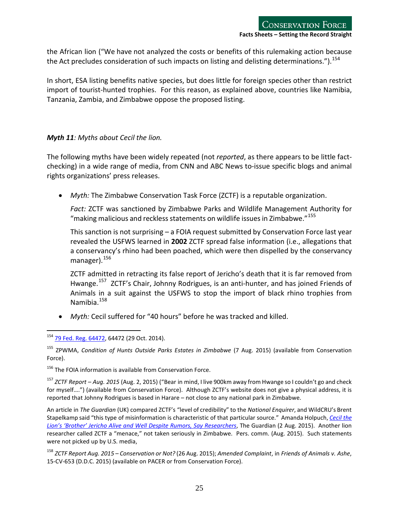the African lion ("We have not analyzed the costs or benefits of this rulemaking action because the Act precludes consideration of such impacts on listing and delisting determinations.").<sup>[154](#page-24-1)</sup>

In short, ESA listing benefits native species, but does little for foreign species other than restrict import of tourist-hunted trophies. For this reason, as explained above, countries like Namibia, Tanzania, Zambia, and Zimbabwe oppose the proposed listing.

#### <span id="page-24-0"></span>*Myth 11: Myths about Cecil the lion.*

The following myths have been widely repeated (not *reported*, as there appears to be little factchecking) in a wide range of media, from CNN and ABC News to-issue specific blogs and animal rights organizations' press releases.

• *Myth:* The Zimbabwe Conservation Task Force (ZCTF) is a reputable organization.

*Fact:* ZCTF was sanctioned by Zimbabwe Parks and Wildlife Management Authority for "making malicious and reckless statements on wildlife issues in Zimbabwe." $155$ 

This sanction is not surprising – a FOIA request submitted by Conservation Force last year revealed the USFWS learned in **2002** ZCTF spread false information (i.e., allegations that a conservancy's rhino had been poached, which were then dispelled by the conservancy manager).<sup>[156](#page-24-3)</sup>

ZCTF admitted in retracting its false report of Jericho's death that it is far removed from Hwange.<sup>157</sup> ZCTF's Chair, Johnny Rodrigues, is an anti-hunter, and has joined Friends of Animals in a suit against the USFWS to stop the import of black rhino trophies from Namibia.<sup>[158](#page-24-5)</sup>

• *Myth:* Cecil suffered for "40 hours" before he was tracked and killed.

<sup>&</sup>lt;sup>154</sup> [79 Fed. Reg. 64472,](http://www.fws.gov/endangered/what-we-do/pdf/201410294_African-lion_Proposed_Rule.pdf) 64472 (29 Oct. 2014).  $\overline{a}$ 

<span id="page-24-2"></span><span id="page-24-1"></span><sup>155</sup> ZPWMA, *Condition of Hunts Outside Parks Estates in Zimbabwe* (7 Aug. 2015) (available from Conservation Force).

<span id="page-24-3"></span><sup>&</sup>lt;sup>156</sup> The FOIA information is available from Conservation Force.

<span id="page-24-4"></span><sup>157</sup> *ZCTF Report – Aug. 2015* (Aug. 2, 2015) ("Bear in mind, I live 900km away from Hwange so I couldn't go and check for myself….") (available from Conservation Force). Although ZCTF's website does not give a physical address, it is reported that Johnny Rodrigues is based in Harare – not close to any national park in Zimbabwe.

An article in *The Guardian* (UK) compared ZCTF's "level of credibility" to the *National Enquirer*, and WildCRU's Brent Stapelkamp said "this type of misinformation is characteristic of that particular source." Amanda Holpuch, *[Cecil the](http://www.theguardian.com/environment/2015/aug/01/jericho-not-dead-cecil-the-lion-zimbabwe)  [Lion's 'Brother' Jericho Alive and Well Despite Rumors, Say Researchers](http://www.theguardian.com/environment/2015/aug/01/jericho-not-dead-cecil-the-lion-zimbabwe)*, The Guardian (2 Aug. 2015). Another lion researcher called ZCTF a "menace," not taken seriously in Zimbabwe. Pers. comm. (Aug. 2015). Such statements were not picked up by U.S. media,

<span id="page-24-5"></span><sup>158</sup> *ZCTF Report Aug. 2015 – Conservation or Not?* (26 Aug. 2015); *Amended Complaint*, in *Friends of Animals v. Ashe*, 15-CV-653 (D.D.C. 2015) (available on PACER or from Conservation Force).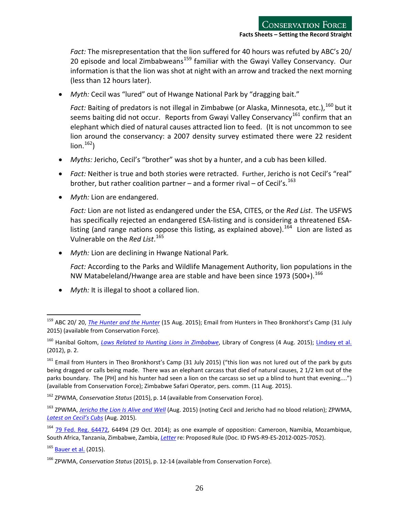*Fact:* The misrepresentation that the lion suffered for 40 hours was refuted by ABC's 20/ 20 episode and local Zimbabweans<sup>[159](#page-25-0)</sup> familiar with the Gwayi Valley Conservancy. Our information is that the lion was shot at night with an arrow and tracked the next morning (less than 12 hours later).

• *Myth:* Cecil was "lured" out of Hwange National Park by "dragging bait."

Fact: Baiting of predators is not illegal in Zimbabwe (or Alaska, Minnesota, etc.), <sup>[160](#page-25-1)</sup> but it seems baiting did not occur. Reports from Gwayi Valley Conservancy<sup>[161](#page-25-2)</sup> confirm that an elephant which died of natural causes attracted lion to feed. (It is not uncommon to see lion around the conservancy: a 2007 density survey estimated there were 22 resident  $\text{lion.}^{162}$ 

- *Myths:* Jericho, Cecil's "brother" was shot by a hunter, and a cub has been killed.
- *Fact:* Neither is true and both stories were retracted. Further, Jericho is not Cecil's "real" brother, but rather coalition partner – and a former rival – of Cecil's.<sup>[163](#page-25-4)</sup>
- *Myth:* Lion are endangered.

*Fact:* Lion are not listed as endangered under the ESA, CITES, or the *Red List*. The USFWS has specifically rejected an endangered ESA-listing and is considering a threatened ESA-listing (and range nations oppose this listing, as explained above).<sup>[164](#page-25-5)</sup> Lion are listed as Vulnerable on the *Red List*. [165](#page-25-6)

- *Myth:* Lion are declining in Hwange National Park.
	- *Fact:* According to the Parks and Wildlife Management Authority, lion populations in the NW Matabeleland/Hwange area are stable and have been since 1973 (500+).<sup>[166](#page-25-7)</sup>
- *Myth:* It is illegal to shoot a collared lion.

<span id="page-25-0"></span><sup>159</sup> ABC 20/ 20, *[The](http://abcnews.go.com/International/happened-harrowing-hours-cecil-lion-killed/story?id=33044279) [Hunter and the Hunter](http://abcnews.go.com/International/happened-harrowing-hours-cecil-lion-killed/story?id=33044279)* (15 Aug. 2015); Email from Hunters in Theo Bronkhorst's Camp (31 July 2015) (available from Conservation Force).

<span id="page-25-1"></span><sup>160</sup> Hanibal Goltom, *[Laws Related to Hunting Lions in Zimbabwe](http://blogs.loc.gov/law/2015/08/falqs-laws-related-to-hunting-lions-in-zimbabwe/)*, Library of Congress (4 Aug. 2015); [Lindsey et al.](http://journals.plos.org/plosone/article?id=10.1371/journal.pone.0029332) (2012), p. 2.

<span id="page-25-2"></span><sup>&</sup>lt;sup>161</sup> Email from Hunters in Theo Bronkhorst's Camp (31 July 2015) ("this lion was not lured out of the park by guts being dragged or calls being made. There was an elephant carcass that died of natural causes, 2 1/2 km out of the parks boundary. The [PH] and his hunter had seen a lion on the carcass so set up a blind to hunt that evening....") (available from Conservation Force); Zimbabwe Safari Operator, pers. comm. (11 Aug. 2015).

<span id="page-25-3"></span><sup>162</sup> ZPWMA, *Conservation Status* (2015), p. 14 (available from Conservation Force).

<span id="page-25-4"></span><sup>163</sup> ZPWMA, *[Jericho the Lion Is Alive and Well](http://www.zimparks.org/index.php/mc/220-jericho-alive-and-well)* (Aug. 2015) (noting Cecil and Jericho had no blood relation); ZPWMA, *[Latest on Cecil's Cubs](http://www.zimparks.org/index.php/mc/225-latest-on-cecil-s-cubs)* (Aug. 2015).

<span id="page-25-5"></span><sup>&</sup>lt;sup>164</sup> [79 Fed. Reg. 64472,](http://www.fws.gov/endangered/what-we-do/pdf/201410294_African-lion_Proposed_Rule.pdf) 64494 (29 Oct. 2014); as one example of opposition: Cameroon, Namibia, Mozambique, South Africa, Tanzania, Zimbabwe, Zambia, *[Letter](http://www.regulations.gov/%23!documentDetail;D=FWS-R9-ES-2012-0025-7052)* re: Proposed Rule (Doc. ID FWS-R9-ES-2012-0025-7052).

<span id="page-25-6"></span><sup>&</sup>lt;sup>165</sup> [Bauer et al.](http://www.iucnredlist.org/details/full/15951/0) (2015).

<span id="page-25-7"></span><sup>166</sup> ZPWMA, *Conservation Status* (2015), p. 12-14 (available from Conservation Force).